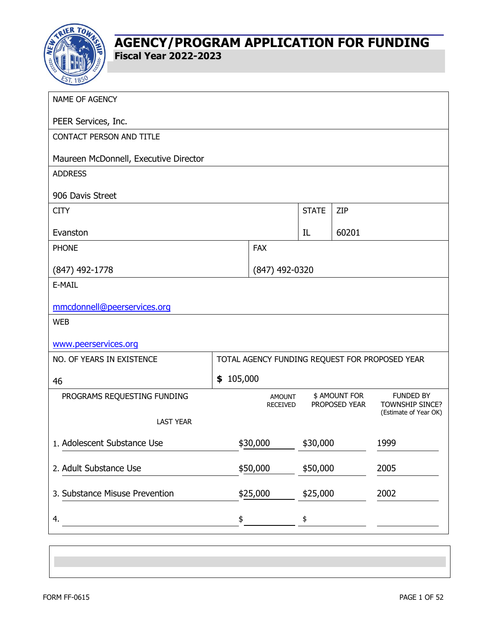

| NAME OF AGENCY                        |           |                                  |              |                                |                                                |
|---------------------------------------|-----------|----------------------------------|--------------|--------------------------------|------------------------------------------------|
| PEER Services, Inc.                   |           |                                  |              |                                |                                                |
| <b>CONTACT PERSON AND TITLE</b>       |           |                                  |              |                                |                                                |
| Maureen McDonnell, Executive Director |           |                                  |              |                                |                                                |
| <b>ADDRESS</b>                        |           |                                  |              |                                |                                                |
| 906 Davis Street                      |           |                                  |              |                                |                                                |
| <b>CITY</b>                           |           |                                  | <b>STATE</b> | ZIP                            |                                                |
| Evanston                              |           |                                  | IL           | 60201                          |                                                |
| <b>PHONE</b>                          |           | <b>FAX</b>                       |              |                                |                                                |
| $(847)$ 492-1778                      |           | (847) 492-0320                   |              |                                |                                                |
| E-MAIL                                |           |                                  |              |                                |                                                |
| mmcdonnell@peerservices.org           |           |                                  |              |                                |                                                |
| <b>WEB</b>                            |           |                                  |              |                                |                                                |
| www.peerservices.org                  |           |                                  |              |                                |                                                |
| NO. OF YEARS IN EXISTENCE             |           |                                  |              |                                | TOTAL AGENCY FUNDING REQUEST FOR PROPOSED YEAR |
| 46                                    | \$105,000 |                                  |              |                                |                                                |
| PROGRAMS REQUESTING FUNDING           |           | <b>AMOUNT</b><br><b>RECEIVED</b> |              | \$ AMOUNT FOR<br>PROPOSED YEAR | <b>FUNDED BY</b><br>TOWNSHIP SINCE?            |
| <b>LAST YEAR</b>                      |           |                                  |              |                                | (Estimate of Year OK)                          |
| 1. Adolescent Substance Use           |           | \$30,000                         | \$30,000     |                                | 1999                                           |
|                                       |           |                                  |              |                                |                                                |
| 2. Adult Substance Use                |           | \$50,000                         | \$50,000     |                                | 2005                                           |
| 3. Substance Misuse Prevention        |           | \$25,000                         | \$25,000     |                                | 2002                                           |
| 4.                                    | \$        |                                  | \$           |                                |                                                |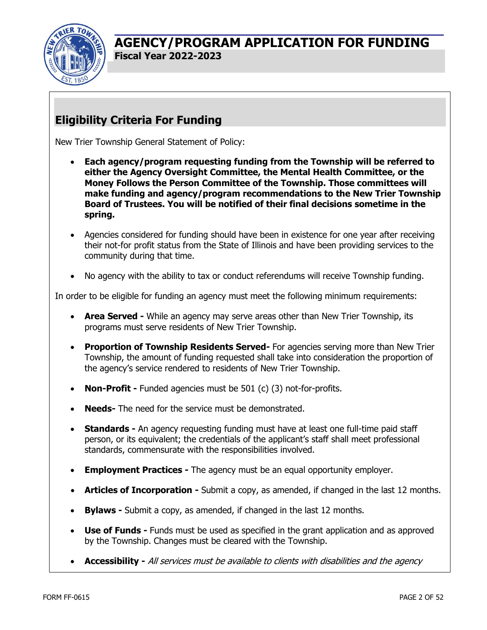

## **Eligibility Criteria For Funding**

New Trier Township General Statement of Policy:

- **Each agency/program requesting funding from the Township will be referred to either the Agency Oversight Committee, the Mental Health Committee, or the Money Follows the Person Committee of the Township. Those committees will make funding and agency/program recommendations to the New Trier Township Board of Trustees. You will be notified of their final decisions sometime in the spring.**
- Agencies considered for funding should have been in existence for one year after receiving their not-for profit status from the State of Illinois and have been providing services to the community during that time.
- No agency with the ability to tax or conduct referendums will receive Township funding.

In order to be eligible for funding an agency must meet the following minimum requirements:

- **Area Served** While an agency may serve areas other than New Trier Township, its programs must serve residents of New Trier Township.
- **Proportion of Township Residents Served-** For agencies serving more than New Trier Township, the amount of funding requested shall take into consideration the proportion of the agency's service rendered to residents of New Trier Township.
- **Non-Profit Funded agencies must be 501 (c) (3) not-for-profits.**
- **Needs-** The need for the service must be demonstrated.
- **Standards -** An agency requesting funding must have at least one full-time paid staff person, or its equivalent; the credentials of the applicant's staff shall meet professional standards, commensurate with the responsibilities involved.
- **Employment Practices -** The agency must be an equal opportunity employer.
- **Articles of Incorporation** Submit a copy, as amended, if changed in the last 12 months.
- **Bylaws** Submit a copy, as amended, if changed in the last 12 months.
- **Use of Funds** Funds must be used as specified in the grant application and as approved by the Township. Changes must be cleared with the Township.
- **Accessibility** All services must be available to clients with disabilities and the agency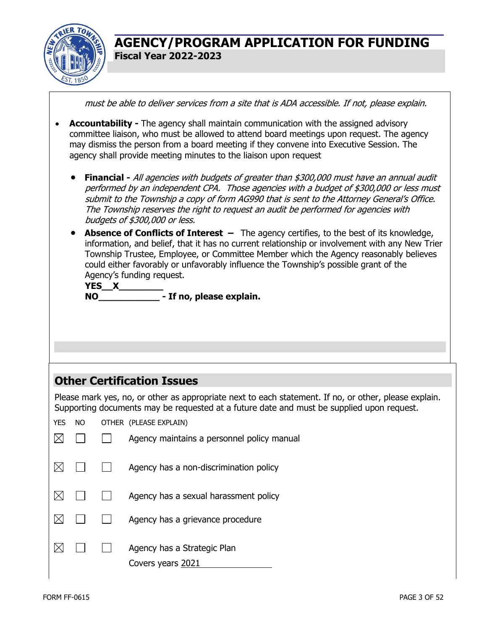

must be able to deliver services from a site that is ADA accessible. If not, please explain.

- **Accountability** The agency shall maintain communication with the assigned advisory committee liaison, who must be allowed to attend board meetings upon request. The agency may dismiss the person from a board meeting if they convene into Executive Session. The agency shall provide meeting minutes to the liaison upon request
	- **Financial** All agencies with budgets of greater than \$300,000 must have an annual audit performed by an independent CPA. Those agencies with a budget of \$300,000 or less must submit to the Township a copy of form AG990 that is sent to the Attorney General's Office. The Township reserves the right to request an audit be performed for agencies with budgets of \$300,000 or less.
	- **Absence of Conflicts of Interest –** The agency certifies, to the best of its knowledge, information, and belief, that it has no current relationship or involvement with any New Trier Township Trustee, Employee, or Committee Member which the Agency reasonably believes could either favorably or unfavorably influence the Township's possible grant of the Agency's funding request.

| YES X     |                          |
|-----------|--------------------------|
| <b>NO</b> | - If no, please explain. |

## **Other Certification Issues**

Please mark yes, no, or other as appropriate next to each statement. If no, or other, please explain. Supporting documents may be requested at a future date and must be supplied upon request.

| YES | NO. | OTHER (PLEASE EXPLAIN)                           |
|-----|-----|--------------------------------------------------|
|     |     | Agency maintains a personnel policy manual       |
|     |     | Agency has a non-discrimination policy           |
|     |     | Agency has a sexual harassment policy            |
|     |     | Agency has a grievance procedure                 |
|     |     | Agency has a Strategic Plan<br>Covers years 2021 |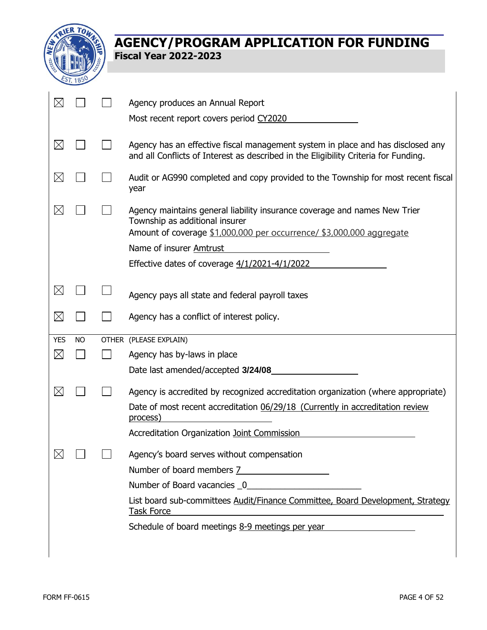

|             |           | Agency produces an Annual Report                                                                                                                                                                                        |
|-------------|-----------|-------------------------------------------------------------------------------------------------------------------------------------------------------------------------------------------------------------------------|
|             |           | Most recent report covers period CY2020                                                                                                                                                                                 |
| $\boxtimes$ |           | Agency has an effective fiscal management system in place and has disclosed any<br>and all Conflicts of Interest as described in the Eligibility Criteria for Funding.                                                  |
| $\boxtimes$ |           | Audit or AG990 completed and copy provided to the Township for most recent fiscal<br>year                                                                                                                               |
| $\boxtimes$ |           | Agency maintains general liability insurance coverage and names New Trier<br>Township as additional insurer<br>Amount of coverage \$1,000,000 per occurrence/ \$3,000,000 aggregate                                     |
|             |           | Name of insurer Amtrust                                                                                                                                                                                                 |
|             |           | Effective dates of coverage 4/1/2021-4/1/2022                                                                                                                                                                           |
|             |           |                                                                                                                                                                                                                         |
| $\boxtimes$ |           | Agency pays all state and federal payroll taxes                                                                                                                                                                         |
| $\boxtimes$ |           | Agency has a conflict of interest policy.                                                                                                                                                                               |
| <b>YES</b>  | <b>NO</b> | OTHER (PLEASE EXPLAIN)                                                                                                                                                                                                  |
| $\boxtimes$ |           |                                                                                                                                                                                                                         |
|             |           | Agency has by-laws in place                                                                                                                                                                                             |
|             |           | Date last amended/accepted 3/24/08                                                                                                                                                                                      |
| $\boxtimes$ |           | Agency is accredited by recognized accreditation organization (where appropriate)                                                                                                                                       |
|             |           | Date of most recent accreditation 06/29/18 (Currently in accreditation review<br>process)                                                                                                                               |
|             |           | Accreditation Organization Joint Commission                                                                                                                                                                             |
| $\boxtimes$ |           | Agency's board serves without compensation                                                                                                                                                                              |
|             |           | Number of board members 7                                                                                                                                                                                               |
|             |           |                                                                                                                                                                                                                         |
|             |           | List board sub-committees Audit/Finance Committee, Board Development, Strategy<br><b>Task Force</b><br>and the control of the control of the control of the control of the control of the control of the control of the |
|             |           | Schedule of board meetings 8-9 meetings per year                                                                                                                                                                        |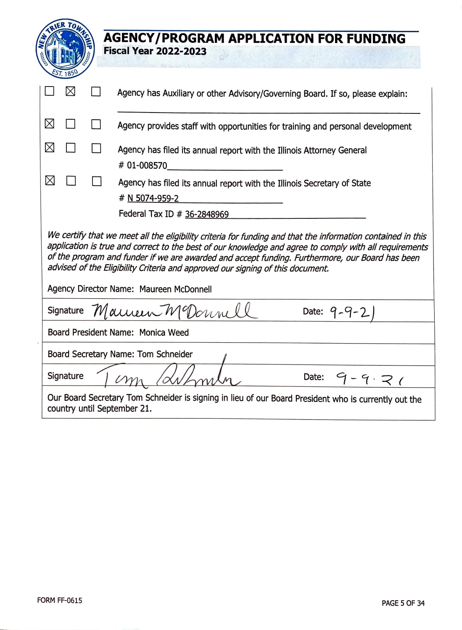|                                     |  | <b>AGENCY/PROGRAM APPLICATION FOR FUNDING</b>                                                                                                                                                                                                                                                                                                                                                                                                         |  |  |
|-------------------------------------|--|-------------------------------------------------------------------------------------------------------------------------------------------------------------------------------------------------------------------------------------------------------------------------------------------------------------------------------------------------------------------------------------------------------------------------------------------------------|--|--|
|                                     |  | <b>Fiscal Year 2022-2023</b>                                                                                                                                                                                                                                                                                                                                                                                                                          |  |  |
|                                     |  |                                                                                                                                                                                                                                                                                                                                                                                                                                                       |  |  |
| $\boxtimes$                         |  | Agency has Auxiliary or other Advisory/Governing Board. If so, please explain:                                                                                                                                                                                                                                                                                                                                                                        |  |  |
| ⊠                                   |  | Agency provides staff with opportunities for training and personal development                                                                                                                                                                                                                                                                                                                                                                        |  |  |
| ⊠                                   |  | Agency has filed its annual report with the Illinois Attorney General<br># 01-008570                                                                                                                                                                                                                                                                                                                                                                  |  |  |
| X                                   |  | Agency has filed its annual report with the Illinois Secretary of State<br># N 5074-959-2                                                                                                                                                                                                                                                                                                                                                             |  |  |
|                                     |  | Federal Tax ID # 36-2848969                                                                                                                                                                                                                                                                                                                                                                                                                           |  |  |
|                                     |  | We certify that we meet all the eligibility criteria for funding and that the information contained in this<br>application is true and correct to the best of our knowledge and agree to comply with all requirements<br>of the program and funder if we are awarded and accept funding. Furthermore, our Board has been<br>advised of the Eligibility Criteria and approved our signing of this document.<br>Agency Director Name: Maureen McDonnell |  |  |
|                                     |  | Signature Maureen MeDonnell<br>Date: $9 - 9 - 2$                                                                                                                                                                                                                                                                                                                                                                                                      |  |  |
| Board President Name: Monica Weed   |  |                                                                                                                                                                                                                                                                                                                                                                                                                                                       |  |  |
| Board Secretary Name: Tom Schneider |  |                                                                                                                                                                                                                                                                                                                                                                                                                                                       |  |  |
| Signature                           |  | Date: $9 - 9 \cdot 7$                                                                                                                                                                                                                                                                                                                                                                                                                                 |  |  |
|                                     |  | Our Board Secretary Tom Schneider is signing in lieu of our Board President who is currently out the<br>country until September 21.                                                                                                                                                                                                                                                                                                                   |  |  |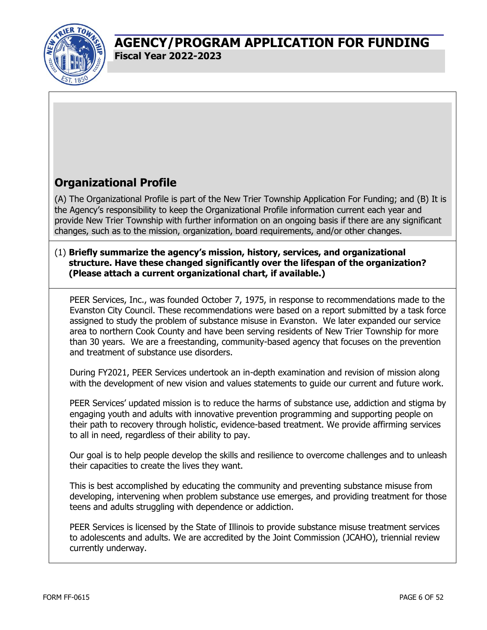

## **Organizational Profile**

(A) The Organizational Profile is part of the New Trier Township Application For Funding; and (B) It is the Agency's responsibility to keep the Organizational Profile information current each year and provide New Trier Township with further information on an ongoing basis if there are any significant changes, such as to the mission, organization, board requirements, and/or other changes.

#### (1) **Briefly summarize the agency's mission, history, services, and organizational structure. Have these changed significantly over the lifespan of the organization? (Please attach a current organizational chart, if available.)**

PEER Services, Inc., was founded October 7, 1975, in response to recommendations made to the Evanston City Council. These recommendations were based on a report submitted by a task force assigned to study the problem of substance misuse in Evanston. We later expanded our service area to northern Cook County and have been serving residents of New Trier Township for more than 30 years. We are a freestanding, community-based agency that focuses on the prevention and treatment of substance use disorders.

During FY2021, PEER Services undertook an in-depth examination and revision of mission along with the development of new vision and values statements to guide our current and future work.

PEER Services' updated mission is to reduce the harms of substance use, addiction and stigma by engaging youth and adults with innovative prevention programming and supporting people on their path to recovery through holistic, evidence-based treatment. We provide affirming services to all in need, regardless of their ability to pay.

Our goal is to help people develop the skills and resilience to overcome challenges and to unleash their capacities to create the lives they want.

This is best accomplished by educating the community and preventing substance misuse from developing, intervening when problem substance use emerges, and providing treatment for those teens and adults struggling with dependence or addiction.

PEER Services is licensed by the State of Illinois to provide substance misuse treatment services to adolescents and adults. We are accredited by the Joint Commission (JCAHO), triennial review currently underway.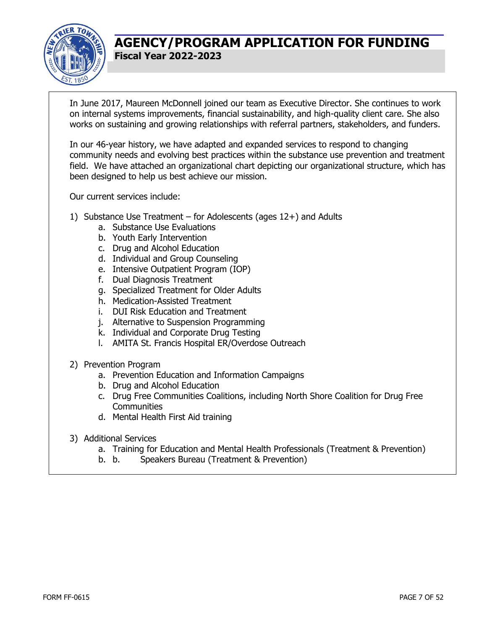

In June 2017, Maureen McDonnell joined our team as Executive Director. She continues to work on internal systems improvements, financial sustainability, and high-quality client care. She also works on sustaining and growing relationships with referral partners, stakeholders, and funders.

In our 46-year history, we have adapted and expanded services to respond to changing community needs and evolving best practices within the substance use prevention and treatment field. We have attached an organizational chart depicting our organizational structure, which has been designed to help us best achieve our mission.

Our current services include:

- 1) Substance Use Treatment for Adolescents (ages 12+) and Adults
	- a. Substance Use Evaluations
	- b. Youth Early Intervention
	- c. Drug and Alcohol Education
	- d. Individual and Group Counseling
	- e. Intensive Outpatient Program (IOP)
	- f. Dual Diagnosis Treatment
	- g. Specialized Treatment for Older Adults
	- h. Medication-Assisted Treatment
	- i. DUI Risk Education and Treatment
	- j. Alternative to Suspension Programming
	- k. Individual and Corporate Drug Testing
	- l. AMITA St. Francis Hospital ER/Overdose Outreach
- 2) Prevention Program
	- a. Prevention Education and Information Campaigns
	- b. Drug and Alcohol Education
	- c. Drug Free Communities Coalitions, including North Shore Coalition for Drug Free **Communities**
	- d. Mental Health First Aid training
- 3) Additional Services
	- a. Training for Education and Mental Health Professionals (Treatment & Prevention)
	- b. b. Speakers Bureau (Treatment & Prevention)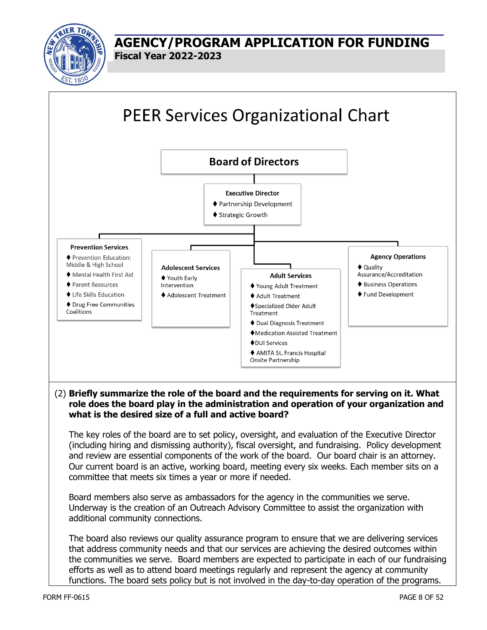

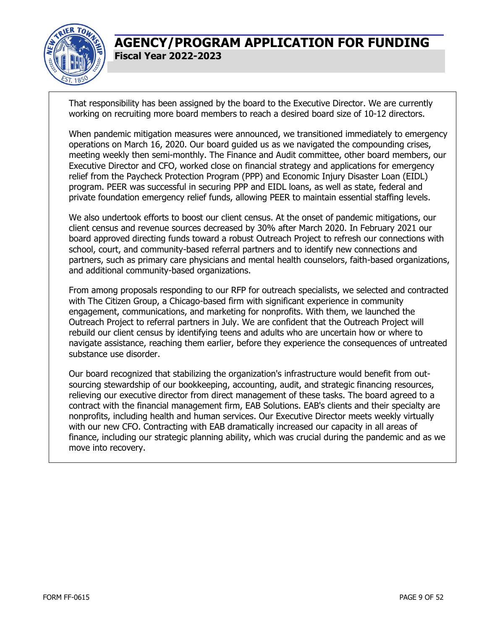

That responsibility has been assigned by the board to the Executive Director. We are currently working on recruiting more board members to reach a desired board size of 10-12 directors.

When pandemic mitigation measures were announced, we transitioned immediately to emergency operations on March 16, 2020. Our board guided us as we navigated the compounding crises, meeting weekly then semi-monthly. The Finance and Audit committee, other board members, our Executive Director and CFO, worked close on financial strategy and applications for emergency relief from the Paycheck Protection Program (PPP) and Economic Injury Disaster Loan (EIDL) program. PEER was successful in securing PPP and EIDL loans, as well as state, federal and private foundation emergency relief funds, allowing PEER to maintain essential staffing levels.

We also undertook efforts to boost our client census. At the onset of pandemic mitigations, our client census and revenue sources decreased by 30% after March 2020. In February 2021 our board approved directing funds toward a robust Outreach Project to refresh our connections with school, court, and community-based referral partners and to identify new connections and partners, such as primary care physicians and mental health counselors, faith-based organizations, and additional community-based organizations.

From among proposals responding to our RFP for outreach specialists, we selected and contracted with The Citizen Group, a Chicago-based firm with significant experience in community engagement, communications, and marketing for nonprofits. With them, we launched the Outreach Project to referral partners in July. We are confident that the Outreach Project will rebuild our client census by identifying teens and adults who are uncertain how or where to navigate assistance, reaching them earlier, before they experience the consequences of untreated substance use disorder.

Our board recognized that stabilizing the organization's infrastructure would benefit from outsourcing stewardship of our bookkeeping, accounting, audit, and strategic financing resources, relieving our executive director from direct management of these tasks. The board agreed to a contract with the financial management firm, EAB Solutions. EAB's clients and their specialty are nonprofits, including health and human services. Our Executive Director meets weekly virtually with our new CFO. Contracting with EAB dramatically increased our capacity in all areas of finance, including our strategic planning ability, which was crucial during the pandemic and as we move into recovery.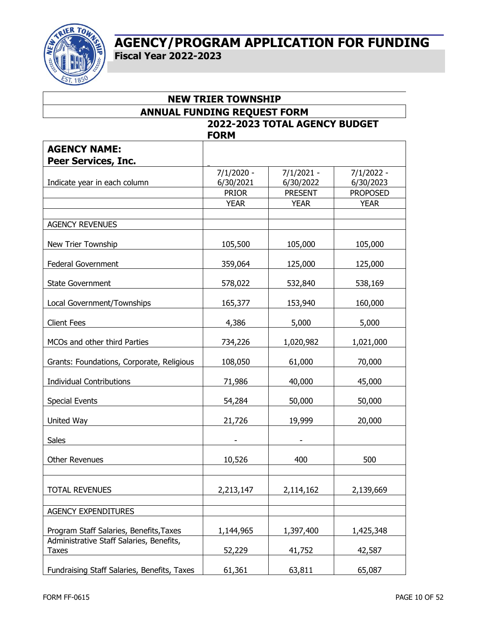

| <b>ANNUAL FUNDING REQUEST FORM</b>                       |              |                               |                 |  |
|----------------------------------------------------------|--------------|-------------------------------|-----------------|--|
|                                                          |              | 2022-2023 TOTAL AGENCY BUDGET |                 |  |
|                                                          | <b>FORM</b>  |                               |                 |  |
| <b>AGENCY NAME:</b>                                      |              |                               |                 |  |
| <b>Peer Services, Inc.</b>                               |              |                               |                 |  |
|                                                          | $7/1/2020 -$ | 7/1/2021 -                    | $7/1/2022 -$    |  |
| Indicate year in each column                             | 6/30/2021    | 6/30/2022                     | 6/30/2023       |  |
|                                                          | <b>PRIOR</b> | <b>PRESENT</b>                | <b>PROPOSED</b> |  |
|                                                          | <b>YEAR</b>  | <b>YEAR</b>                   | <b>YEAR</b>     |  |
|                                                          |              |                               |                 |  |
| <b>AGENCY REVENUES</b>                                   |              |                               |                 |  |
| New Trier Township                                       | 105,500      | 105,000                       | 105,000         |  |
| <b>Federal Government</b>                                | 359,064      | 125,000                       | 125,000         |  |
| State Government                                         | 578,022      | 532,840                       | 538,169         |  |
| Local Government/Townships                               | 165,377      | 153,940                       | 160,000         |  |
| <b>Client Fees</b>                                       | 4,386        | 5,000                         | 5,000           |  |
| MCOs and other third Parties                             | 734,226      | 1,020,982                     | 1,021,000       |  |
| Grants: Foundations, Corporate, Religious                | 108,050      | 61,000                        | 70,000          |  |
| <b>Individual Contributions</b>                          | 71,986       | 40,000                        | 45,000          |  |
| <b>Special Events</b>                                    | 54,284       | 50,000                        | 50,000          |  |
| United Way                                               | 21,726       | 19,999                        | 20,000          |  |
| Sales                                                    |              |                               |                 |  |
| <b>Other Revenues</b>                                    | 10,526       | 400                           | 500             |  |
|                                                          |              |                               |                 |  |
| <b>TOTAL REVENUES</b>                                    | 2,213,147    | 2,114,162                     | 2,139,669       |  |
|                                                          |              |                               |                 |  |
| <b>AGENCY EXPENDITURES</b>                               |              |                               |                 |  |
| Program Staff Salaries, Benefits, Taxes                  | 1,144,965    | 1,397,400                     | 1,425,348       |  |
| Administrative Staff Salaries, Benefits,<br><b>Taxes</b> | 52,229       | 41,752                        | 42,587          |  |
| Fundraising Staff Salaries, Benefits, Taxes              | 61,361       | 63,811                        | 65,087          |  |

**NEW TRIER TOWNSHIP**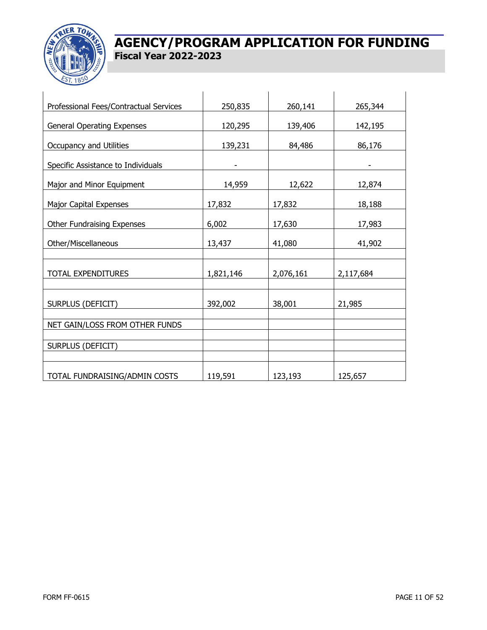

| Professional Fees/Contractual Services | 250,835   | 260,141   | 265,344   |
|----------------------------------------|-----------|-----------|-----------|
| <b>General Operating Expenses</b>      | 120,295   | 139,406   | 142,195   |
| <b>Occupancy and Utilities</b>         | 139,231   | 84,486    | 86,176    |
| Specific Assistance to Individuals     |           |           |           |
| Major and Minor Equipment              | 14,959    | 12,622    | 12,874    |
| <b>Major Capital Expenses</b>          | 17,832    | 17,832    | 18,188    |
| Other Fundraising Expenses             | 6,002     | 17,630    | 17,983    |
| Other/Miscellaneous                    | 13,437    | 41,080    | 41,902    |
|                                        |           |           |           |
| <b>TOTAL EXPENDITURES</b>              | 1,821,146 | 2,076,161 | 2,117,684 |
|                                        |           |           |           |
| SURPLUS (DEFICIT)                      | 392,002   | 38,001    | 21,985    |
| NET GAIN/LOSS FROM OTHER FUNDS         |           |           |           |
|                                        |           |           |           |
| <b>SURPLUS (DEFICIT)</b>               |           |           |           |
|                                        |           |           |           |
| TOTAL FUNDRAISING/ADMIN COSTS          | 119,591   | 123,193   | 125,657   |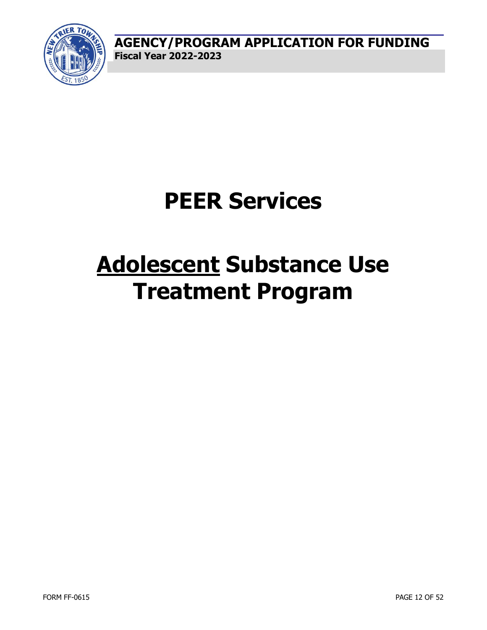

## **PEER Services**

## **Adolescent Substance Use Treatment Program**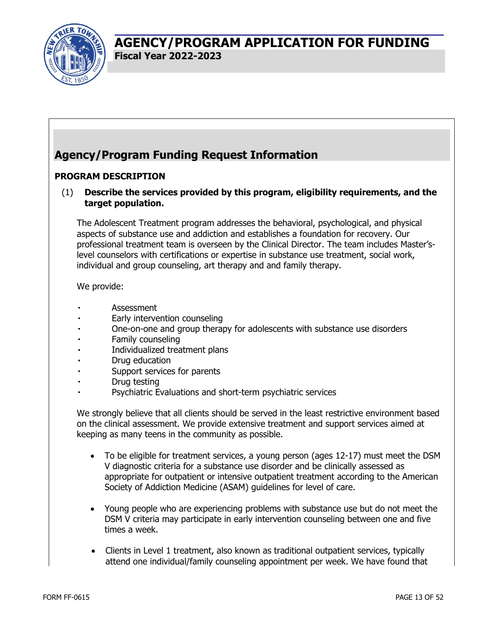

## **Agency/Program Funding Request Information**

#### **PROGRAM DESCRIPTION**

(1) **Describe the services provided by this program, eligibility requirements, and the target population.** 

The Adolescent Treatment program addresses the behavioral, psychological, and physical aspects of substance use and addiction and establishes a foundation for recovery. Our professional treatment team is overseen by the Clinical Director. The team includes Master'slevel counselors with certifications or expertise in substance use treatment, social work, individual and group counseling, art therapy and and family therapy.

#### We provide:

- Assessment
- Early intervention counseling
- One-on-one and group therapy for adolescents with substance use disorders
- Family counseling
- Individualized treatment plans
- Drug education
- Support services for parents
- Drug testing
- Psychiatric Evaluations and short-term psychiatric services

We strongly believe that all clients should be served in the least restrictive environment based on the clinical assessment. We provide extensive treatment and support services aimed at keeping as many teens in the community as possible.

- To be eligible for treatment services, a young person (ages 12-17) must meet the DSM V diagnostic criteria for a substance use disorder and be clinically assessed as appropriate for outpatient or intensive outpatient treatment according to the American Society of Addiction Medicine (ASAM) guidelines for level of care.
- Young people who are experiencing problems with substance use but do not meet the DSM V criteria may participate in early intervention counseling between one and five times a week.
- Clients in Level 1 treatment, also known as traditional outpatient services, typically attend one individual/family counseling appointment per week. We have found that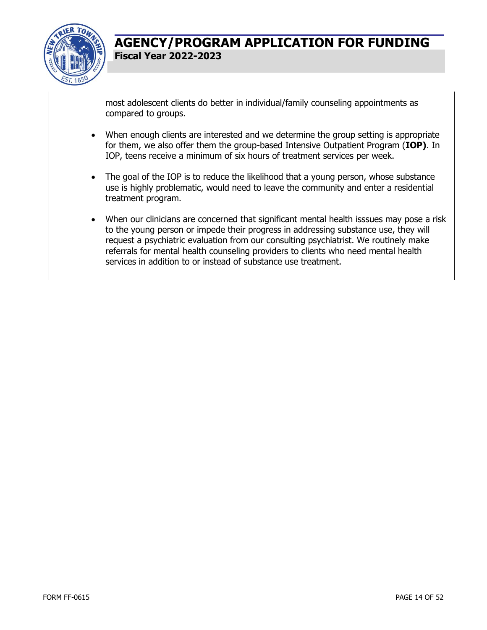

most adolescent clients do better in individual/family counseling appointments as compared to groups.

- When enough clients are interested and we determine the group setting is appropriate for them, we also offer them the group-based Intensive Outpatient Program (**IOP)**. In IOP, teens receive a minimum of six hours of treatment services per week.
- The goal of the IOP is to reduce the likelihood that a young person, whose substance use is highly problematic, would need to leave the community and enter a residential treatment program.
- When our clinicians are concerned that significant mental health isssues may pose a risk to the young person or impede their progress in addressing substance use, they will request a psychiatric evaluation from our consulting psychiatrist. We routinely make referrals for mental health counseling providers to clients who need mental health services in addition to or instead of substance use treatment.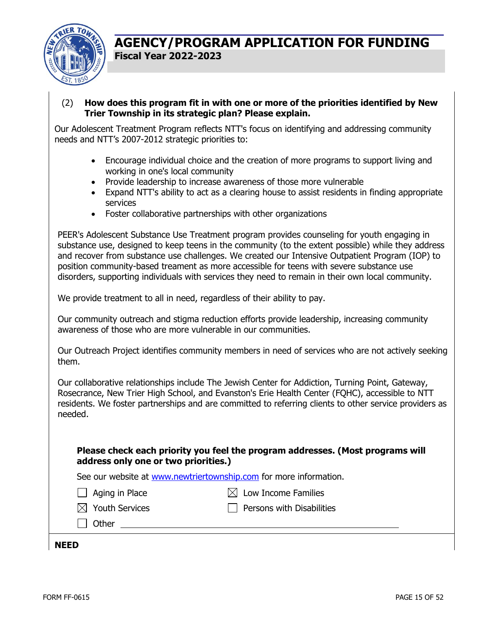

(2) **How does this program fit in with one or more of the priorities identified by New Trier Township in its strategic plan? Please explain.** 

Our Adolescent Treatment Program reflects NTT's focus on identifying and addressing community needs and NTT's 2007-2012 strategic priorities to:

- Encourage individual choice and the creation of more programs to support living and working in one's local community
- Provide leadership to increase awareness of those more vulnerable
- Expand NTT's ability to act as a clearing house to assist residents in finding appropriate services
- Foster collaborative partnerships with other organizations

PEER's Adolescent Substance Use Treatment program provides counseling for youth engaging in substance use, designed to keep teens in the community (to the extent possible) while they address and recover from substance use challenges. We created our Intensive Outpatient Program (IOP) to position community-based treament as more accessible for teens with severe substance use disorders, supporting individuals with services they need to remain in their own local community.

We provide treatment to all in need, regardless of their ability to pay.

Our community outreach and stigma reduction efforts provide leadership, increasing community awareness of those who are more vulnerable in our communities.

Our Outreach Project identifies community members in need of services who are not actively seeking them.

Our collaborative relationships include The Jewish Center for Addiction, Turning Point, Gateway, Rosecrance, New Trier High School, and Evanston's Erie Health Center (FQHC), accessible to NTT residents. We foster partnerships and are committed to referring clients to other service providers as needed.

**Please check each priority you feel the program addresses. (Most programs will address only one or two priorities.)** 

See our website at www.newtriertownship.com for more information.

 $\Box$  Aging in Place  $\boxtimes$  Low Income Families

 $\boxtimes$  Youth Services  $\Box$  Persons with Disabilities

l l Other

**NEED**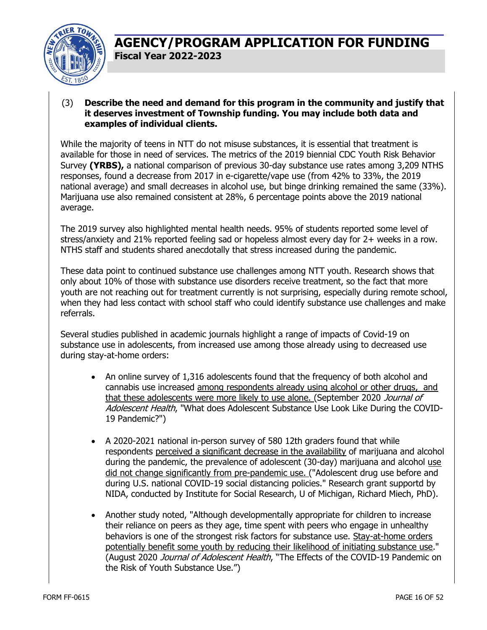

#### (3) **Describe the need and demand for this program in the community and justify that it deserves investment of Township funding. You may include both data and examples of individual clients.**

While the majority of teens in NTT do not misuse substances, it is essential that treatment is available for those in need of services. The metrics of the 2019 biennial CDC Youth Risk Behavior Survey **(YRBS),** a national comparison of previous 30-day substance use rates among 3,209 NTHS responses, found a decrease from 2017 in e-cigarette/vape use (from 42% to 33%, the 2019 national average) and small decreases in alcohol use, but binge drinking remained the same (33%). Marijuana use also remained consistent at 28%, 6 percentage points above the 2019 national average.

The 2019 survey also highlighted mental health needs. 95% of students reported some level of stress/anxiety and 21% reported feeling sad or hopeless almost every day for 2+ weeks in a row. NTHS staff and students shared anecdotally that stress increased during the pandemic.

These data point to continued substance use challenges among NTT youth. Research shows that only about 10% of those with substance use disorders receive treatment, so the fact that more youth are not reaching out for treatment currently is not surprising, especially during remote school, when they had less contact with school staff who could identify substance use challenges and make referrals.

Several studies published in academic journals highlight a range of impacts of Covid-19 on substance use in adolescents, from increased use among those already using to decreased use during stay-at-home orders:

- An online survey of 1,316 adolescents found that the frequency of both alcohol and cannabis use increased among respondents already using alcohol or other drugs, and that these adolescents were more likely to use alone. (September 2020 Journal of Adolescent Health, "What does Adolescent Substance Use Look Like During the COVID-19 Pandemic?")
- A 2020-2021 national in-person survey of 580 12th graders found that while respondents perceived a significant decrease in the availability of marijuana and alcohol during the pandemic, the prevalence of adolescent (30-day) marijuana and alcohol use did not change significantly from pre-pandemic use. ("Adolescent drug use before and during U.S. national COVID-19 social distancing policies." Research grant supportd by NIDA, conducted by Institute for Social Research, U of Michigan, Richard Miech, PhD).
- Another study noted, "Although developmentally appropriate for children to increase their reliance on peers as they age, time spent with peers who engage in unhealthy behaviors is one of the strongest risk factors for substance use. Stay-at-home orders potentially benefit some youth by reducing their likelihood of initiating substance use." (August 2020 Journal of Adolescent Health, "The Effects of the COVID-19 Pandemic on the Risk of Youth Substance Use.")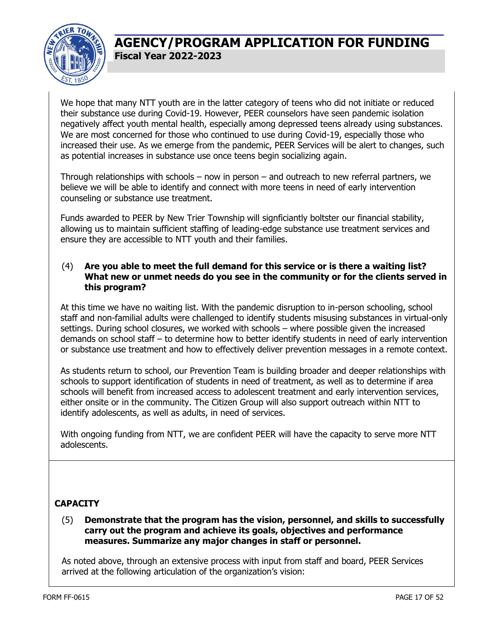

We hope that many NTT youth are in the latter category of teens who did not initiate or reduced their substance use during Covid-19. However, PEER counselors have seen pandemic isolation negatively affect youth mental health, especially among depressed teens already using substances. We are most concerned for those who continued to use during Covid-19, especially those who increased their use. As we emerge from the pandemic, PEER Services will be alert to changes, such as potential increases in substance use once teens begin socializing again.

Through relationships with schools – now in person – and outreach to new referral partners, we believe we will be able to identify and connect with more teens in need of early intervention counseling or substance use treatment.

Funds awarded to PEER by New Trier Township will signficiantly boltster our financial stability, allowing us to maintain sufficient staffing of leading-edge substance use treatment services and ensure they are accessible to NTT youth and their families.

#### (4) **Are you able to meet the full demand for this service or is there a waiting list? What new or unmet needs do you see in the community or for the clients served in this program?**

At this time we have no waiting list. With the pandemic disruption to in-person schooling, school staff and non-familial adults were challenged to identify students misusing substances in virtual-only settings. During school closures, we worked with schools – where possible given the increased demands on school staff – to determine how to better identify students in need of early intervention or substance use treatment and how to effectively deliver prevention messages in a remote context.

As students return to school, our Prevention Team is building broader and deeper relationships with schools to support identification of students in need of treatment, as well as to determine if area schools will benefit from increased access to adolescent treatment and early intervention services, either onsite or in the community. The Citizen Group will also support outreach within NTT to identify adolescents, as well as adults, in need of services.

With ongoing funding from NTT, we are confident PEER will have the capacity to serve more NTT adolescents.

#### **CAPACITY**

#### (5) **Demonstrate that the program has the vision, personnel, and skills to successfully carry out the program and achieve its goals, objectives and performance measures. Summarize any major changes in staff or personnel.**

As noted above, through an extensive process with input from staff and board, PEER Services arrived at the following articulation of the organization's vision: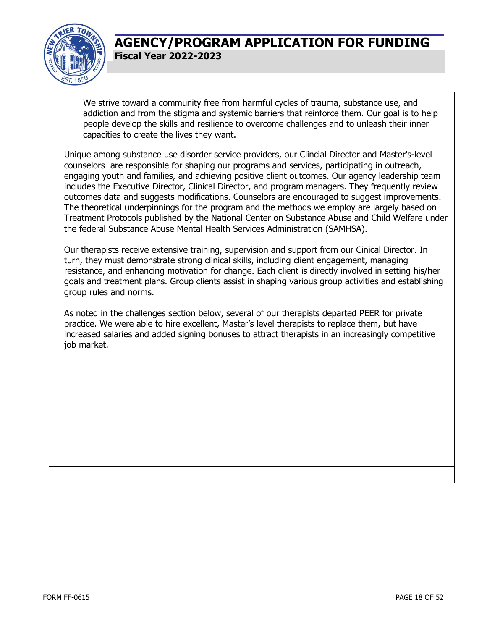

We strive toward a community free from harmful cycles of trauma, substance use, and addiction and from the stigma and systemic barriers that reinforce them. Our goal is to help people develop the skills and resilience to overcome challenges and to unleash their inner capacities to create the lives they want.

Unique among substance use disorder service providers, our Clincial Director and Master's-level counselors are responsible for shaping our programs and services, participating in outreach, engaging youth and families, and achieving positive client outcomes. Our agency leadership team includes the Executive Director, Clinical Director, and program managers. They frequently review outcomes data and suggests modifications. Counselors are encouraged to suggest improvements. The theoretical underpinnings for the program and the methods we employ are largely based on Treatment Protocols published by the National Center on Substance Abuse and Child Welfare under the federal Substance Abuse Mental Health Services Administration (SAMHSA).

Our therapists receive extensive training, supervision and support from our Cinical Director. In turn, they must demonstrate strong clinical skills, including client engagement, managing resistance, and enhancing motivation for change. Each client is directly involved in setting his/her goals and treatment plans. Group clients assist in shaping various group activities and establishing group rules and norms.

As noted in the challenges section below, several of our therapists departed PEER for private practice. We were able to hire excellent, Master's level therapists to replace them, but have increased salaries and added signing bonuses to attract therapists in an increasingly competitive job market.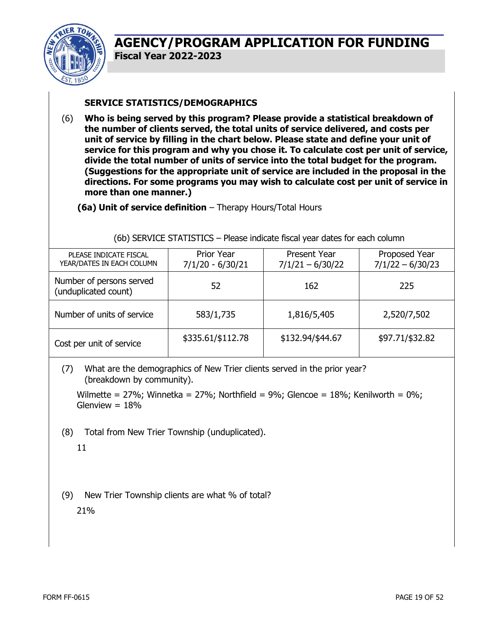

#### **SERVICE STATISTICS/DEMOGRAPHICS**

(6) **Who is being served by this program? Please provide a statistical breakdown of the number of clients served, the total units of service delivered, and costs per unit of service by filling in the chart below. Please state and define your unit of service for this program and why you chose it. To calculate cost per unit of service, divide the total number of units of service into the total budget for the program. (Suggestions for the appropriate unit of service are included in the proposal in the directions. For some programs you may wish to calculate cost per unit of service in more than one manner.)** 

**(6a) Unit of service definition** – Therapy Hours/Total Hours

| PLEASE INDICATE FISCAL<br>YEAR/DATES IN EACH COLUMN | Prior Year<br>$7/1/20 - 6/30/21$ | Present Year<br>$7/1/21 - 6/30/22$ | Proposed Year<br>$7/1/22 - 6/30/23$ |
|-----------------------------------------------------|----------------------------------|------------------------------------|-------------------------------------|
| Number of persons served<br>(unduplicated count)    | 52                               | 162                                | 225                                 |
| Number of units of service                          | 583/1,735                        | 1,816/5,405                        | 2,520/7,502                         |
| Cost per unit of service                            | \$335.61/\$112.78                | \$132.94/\$44.67                   | \$97.71/\$32.82                     |

(6b) SERVICE STATISTICS – Please indicate fiscal year dates for each column

(7) What are the demographics of New Trier clients served in the prior year? (breakdown by community).

Wilmette =  $27\%$ ; Winnetka =  $27\%$ ; Northfield =  $9\%$ ; Glencoe =  $18\%$ ; Kenilworth =  $0\%$ ; Glenview  $= 18%$ 

(8) Total from New Trier Township (unduplicated).

11

(9) New Trier Township clients are what % of total? 21%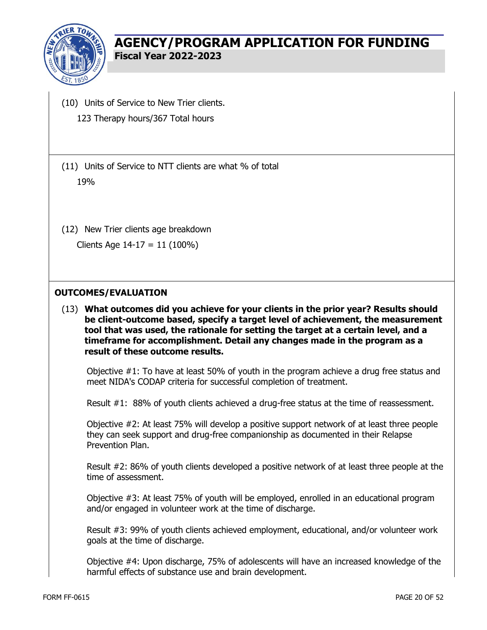

- (10) Units of Service to New Trier clients. 123 Therapy hours/367 Total hours
- (11) Units of Service to NTT clients are what % of total 19%
- (12) New Trier clients age breakdown Clients Age 14-17 = 11 (100%)
- 

#### **OUTCOMES/EVALUATION**

(13) **What outcomes did you achieve for your clients in the prior year? Results should be client-outcome based, specify a target level of achievement, the measurement tool that was used, the rationale for setting the target at a certain level, and a timeframe for accomplishment. Detail any changes made in the program as a result of these outcome results.** 

Objective #1: To have at least 50% of youth in the program achieve a drug free status and meet NIDA's CODAP criteria for successful completion of treatment.

Result #1: 88% of youth clients achieved a drug-free status at the time of reassessment.

Objective #2: At least 75% will develop a positive support network of at least three people they can seek support and drug-free companionship as documented in their Relapse Prevention Plan.

Result #2: 86% of youth clients developed a positive network of at least three people at the time of assessment.

Objective #3: At least 75% of youth will be employed, enrolled in an educational program and/or engaged in volunteer work at the time of discharge.

Result #3: 99% of youth clients achieved employment, educational, and/or volunteer work goals at the time of discharge.

Objective #4: Upon discharge, 75% of adolescents will have an increased knowledge of the harmful effects of substance use and brain development.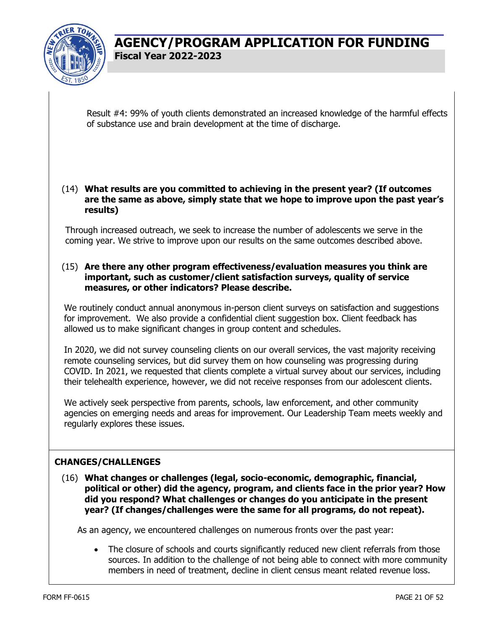

Result #4: 99% of youth clients demonstrated an increased knowledge of the harmful effects of substance use and brain development at the time of discharge.

#### (14) **What results are you committed to achieving in the present year? (If outcomes are the same as above, simply state that we hope to improve upon the past year's results)**

Through increased outreach, we seek to increase the number of adolescents we serve in the coming year. We strive to improve upon our results on the same outcomes described above.

#### (15) **Are there any other program effectiveness/evaluation measures you think are important, such as customer/client satisfaction surveys, quality of service measures, or other indicators? Please describe.**

We routinely conduct annual anonymous in-person client surveys on satisfaction and suggestions for improvement. We also provide a confidential client suggestion box. Client feedback has allowed us to make significant changes in group content and schedules.

In 2020, we did not survey counseling clients on our overall services, the vast majority receiving remote counseling services, but did survey them on how counseling was progressing during COVID. In 2021, we requested that clients complete a virtual survey about our services, including their telehealth experience, however, we did not receive responses from our adolescent clients.

We actively seek perspective from parents, schools, law enforcement, and other community agencies on emerging needs and areas for improvement. Our Leadership Team meets weekly and regularly explores these issues.

#### **CHANGES/CHALLENGES**

(16) **What changes or challenges (legal, socio-economic, demographic, financial, political or other) did the agency, program, and clients face in the prior year? How did you respond? What challenges or changes do you anticipate in the present year? (If changes/challenges were the same for all programs, do not repeat).** 

As an agency, we encountered challenges on numerous fronts over the past year:

• The closure of schools and courts significantly reduced new client referrals from those sources. In addition to the challenge of not being able to connect with more community members in need of treatment, decline in client census meant related revenue loss.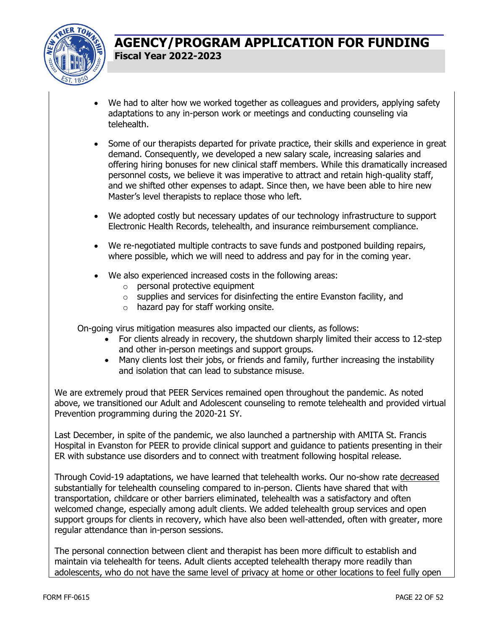

- We had to alter how we worked together as colleagues and providers, applying safety adaptations to any in-person work or meetings and conducting counseling via telehealth.
- Some of our therapists departed for private practice, their skills and experience in great demand. Consequently, we developed a new salary scale, increasing salaries and offering hiring bonuses for new clinical staff members. While this dramatically increased personnel costs, we believe it was imperative to attract and retain high-quality staff, and we shifted other expenses to adapt. Since then, we have been able to hire new Master's level therapists to replace those who left.
- We adopted costly but necessary updates of our technology infrastructure to support Electronic Health Records, telehealth, and insurance reimbursement compliance.
- We re-negotiated multiple contracts to save funds and postponed building repairs, where possible, which we will need to address and pay for in the coming year.
- We also experienced increased costs in the following areas:
	- $\circ$  personal protective equipment
	- $\circ$  supplies and services for disinfecting the entire Evanston facility, and
	- o hazard pay for staff working onsite.

On-going virus mitigation measures also impacted our clients, as follows:

- For clients already in recovery, the shutdown sharply limited their access to 12-step and other in-person meetings and support groups.
- Many clients lost their jobs, or friends and family, further increasing the instability and isolation that can lead to substance misuse.

We are extremely proud that PEER Services remained open throughout the pandemic. As noted above, we transitioned our Adult and Adolescent counseling to remote telehealth and provided virtual Prevention programming during the 2020-21 SY.

Last December, in spite of the pandemic, we also launched a partnership with AMITA St. Francis Hospital in Evanston for PEER to provide clinical support and guidance to patients presenting in their ER with substance use disorders and to connect with treatment following hospital release.

Through Covid-19 adaptations, we have learned that telehealth works. Our no-show rate decreased substantially for telehealth counseling compared to in-person. Clients have shared that with transportation, childcare or other barriers eliminated, telehealth was a satisfactory and often welcomed change, especially among adult clients. We added telehealth group services and open support groups for clients in recovery, which have also been well-attended, often with greater, more regular attendance than in-person sessions.

The personal connection between client and therapist has been more difficult to establish and maintain via telehealth for teens. Adult clients accepted telehealth therapy more readily than adolescents, who do not have the same level of privacy at home or other locations to feel fully open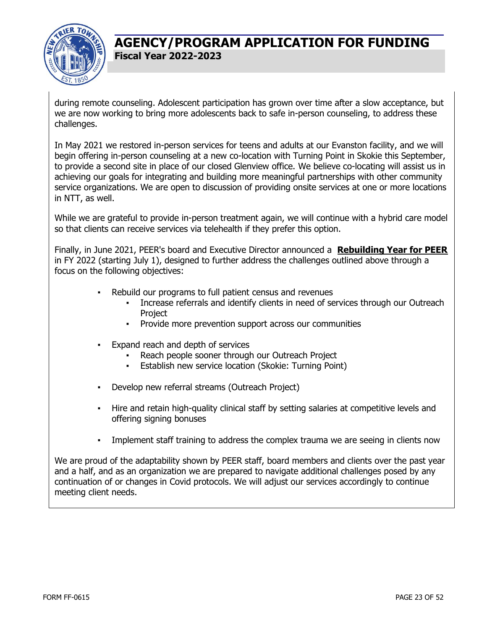

during remote counseling. Adolescent participation has grown over time after a slow acceptance, but we are now working to bring more adolescents back to safe in-person counseling, to address these challenges.

In May 2021 we restored in-person services for teens and adults at our Evanston facility, and we will begin offering in-person counseling at a new co-location with Turning Point in Skokie this September, to provide a second site in place of our closed Glenview office. We believe co-locating will assist us in achieving our goals for integrating and building more meaningful partnerships with other community service organizations. We are open to discussion of providing onsite services at one or more locations in NTT, as well.

While we are grateful to provide in-person treatment again, we will continue with a hybrid care model so that clients can receive services via telehealth if they prefer this option.

Finally, in June 2021, PEER's board and Executive Director announced a **Rebuilding Year for PEER** in FY 2022 (starting July 1), designed to further address the challenges outlined above through a focus on the following objectives:

- Rebuild our programs to full patient census and revenues
	- Increase referrals and identify clients in need of services through our Outreach **Project**
	- Provide more prevention support across our communities
- Expand reach and depth of services
	- Reach people sooner through our Outreach Project
	- Establish new service location (Skokie: Turning Point)
- Develop new referral streams (Outreach Project)
- Hire and retain high-quality clinical staff by setting salaries at competitive levels and offering signing bonuses
- Implement staff training to address the complex trauma we are seeing in clients now

We are proud of the adaptability shown by PEER staff, board members and clients over the past year and a half, and as an organization we are prepared to navigate additional challenges posed by any continuation of or changes in Covid protocols. We will adjust our services accordingly to continue meeting client needs.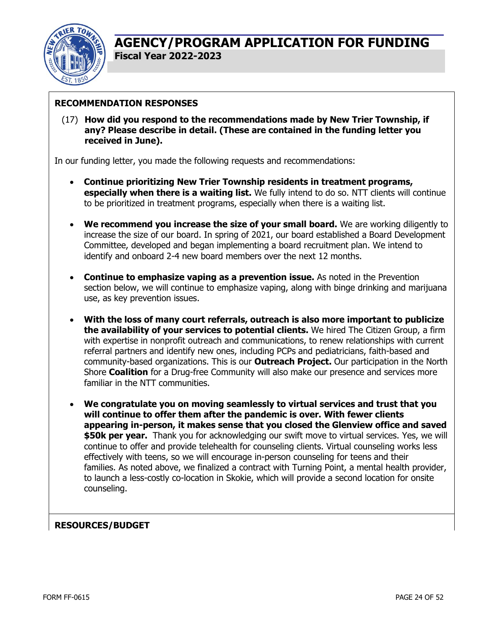

#### **RECOMMENDATION RESPONSES**

(17) **How did you respond to the recommendations made by New Trier Township, if any? Please describe in detail. (These are contained in the funding letter you received in June).** 

In our funding letter, you made the following requests and recommendations:

- **Continue prioritizing New Trier Township residents in treatment programs, especially when there is a waiting list.** We fully intend to do so. NTT clients will continue to be prioritized in treatment programs, especially when there is a waiting list.
- **We recommend you increase the size of your small board.** We are working diligently to increase the size of our board. In spring of 2021, our board established a Board Development Committee, developed and began implementing a board recruitment plan. We intend to identify and onboard 2-4 new board members over the next 12 months.
- **Continue to emphasize vaping as a prevention issue.** As noted in the Prevention section below, we will continue to emphasize vaping, along with binge drinking and marijuana use, as key prevention issues.
- **With the loss of many court referrals, outreach is also more important to publicize the availability of your services to potential clients.** We hired The Citizen Group, a firm with expertise in nonprofit outreach and communications, to renew relationships with current referral partners and identify new ones, including PCPs and pediatricians, faith-based and community-based organizations. This is our **Outreach Project.** Our participation in the North Shore **Coalition** for a Drug-free Community will also make our presence and services more familiar in the NTT communities.
- **We congratulate you on moving seamlessly to virtual services and trust that you will continue to offer them after the pandemic is over. With fewer clients appearing in-person, it makes sense that you closed the Glenview office and saved \$50k per year.** Thank you for acknowledging our swift move to virtual services. Yes, we will continue to offer and provide telehealth for counseling clients. Virtual counseling works less effectively with teens, so we will encourage in-person counseling for teens and their families. As noted above, we finalized a contract with Turning Point, a mental health provider, to launch a less-costly co-location in Skokie, which will provide a second location for onsite counseling.

#### **RESOURCES/BUDGET**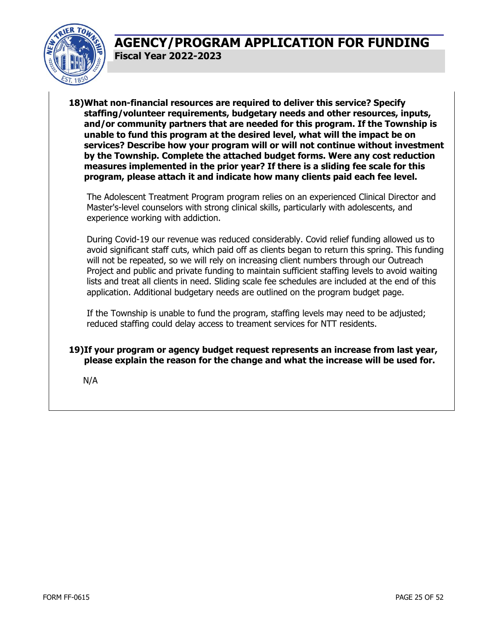

**18)What non-financial resources are required to deliver this service? Specify staffing/volunteer requirements, budgetary needs and other resources, inputs, and/or community partners that are needed for this program. If the Township is unable to fund this program at the desired level, what will the impact be on services? Describe how your program will or will not continue without investment by the Township. Complete the attached budget forms. Were any cost reduction measures implemented in the prior year? If there is a sliding fee scale for this program, please attach it and indicate how many clients paid each fee level.** 

The Adolescent Treatment Program program relies on an experienced Clinical Director and Master's-level counselors with strong clinical skills, particularly with adolescents, and experience working with addiction.

During Covid-19 our revenue was reduced considerably. Covid relief funding allowed us to avoid significant staff cuts, which paid off as clients began to return this spring. This funding will not be repeated, so we will rely on increasing client numbers through our Outreach Project and public and private funding to maintain sufficient staffing levels to avoid waiting lists and treat all clients in need. Sliding scale fee schedules are included at the end of this application. Additional budgetary needs are outlined on the program budget page.

If the Township is unable to fund the program, staffing levels may need to be adjusted; reduced staffing could delay access to treament services for NTT residents.

**19)If your program or agency budget request represents an increase from last year, please explain the reason for the change and what the increase will be used for.** 

N/A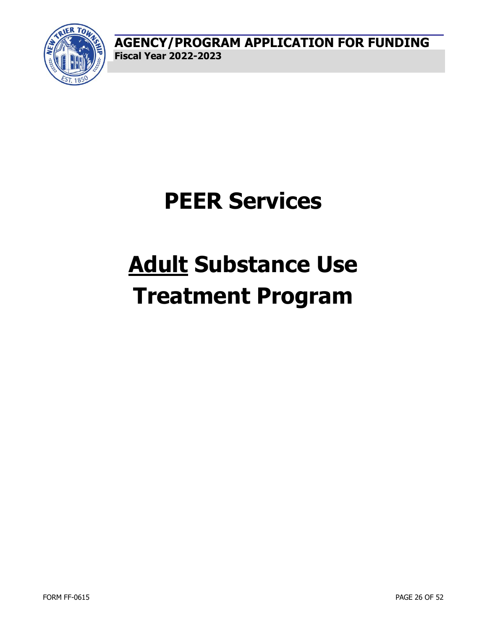

# **Adult Substance Use Treatment Program**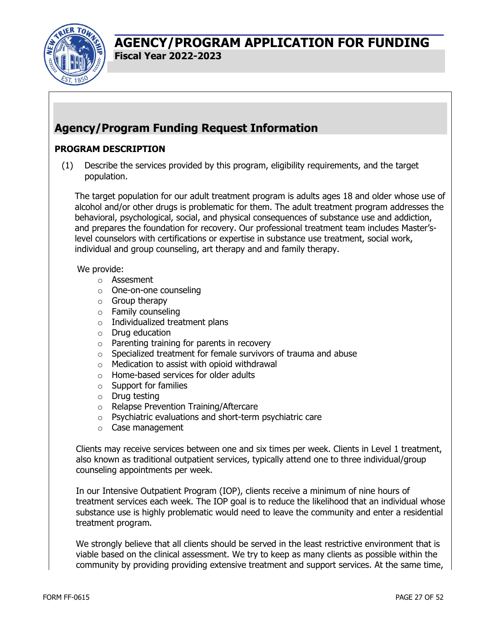

## **Agency/Program Funding Request Information**

#### **PROGRAM DESCRIPTION**

(1) Describe the services provided by this program, eligibility requirements, and the target population.

The target population for our adult treatment program is adults ages 18 and older whose use of alcohol and/or other drugs is problematic for them. The adult treatment program addresses the behavioral, psychological, social, and physical consequences of substance use and addiction, and prepares the foundation for recovery. Our professional treatment team includes Master'slevel counselors with certifications or expertise in substance use treatment, social work, individual and group counseling, art therapy and and family therapy.

#### We provide:

- o Assesment
- o One-on-one counseling
- o Group therapy
- o Family counseling
- o Individualized treatment plans
- o Drug education
- o Parenting training for parents in recovery
- o Specialized treatment for female survivors of trauma and abuse
- $\circ$  Medication to assist with opioid withdrawal
- o Home-based services for older adults
- o Support for families
- o Drug testing
- o Relapse Prevention Training/Aftercare
- o Psychiatric evaluations and short-term psychiatric care
- o Case management

Clients may receive services between one and six times per week. Clients in Level 1 treatment, also known as traditional outpatient services, typically attend one to three individual/group counseling appointments per week.

In our Intensive Outpatient Program (IOP), clients receive a minimum of nine hours of treatment services each week. The IOP goal is to reduce the likelihood that an individual whose substance use is highly problematic would need to leave the community and enter a residential treatment program.

We strongly believe that all clients should be served in the least restrictive environment that is viable based on the clinical assessment. We try to keep as many clients as possible within the community by providing providing extensive treatment and support services. At the same time,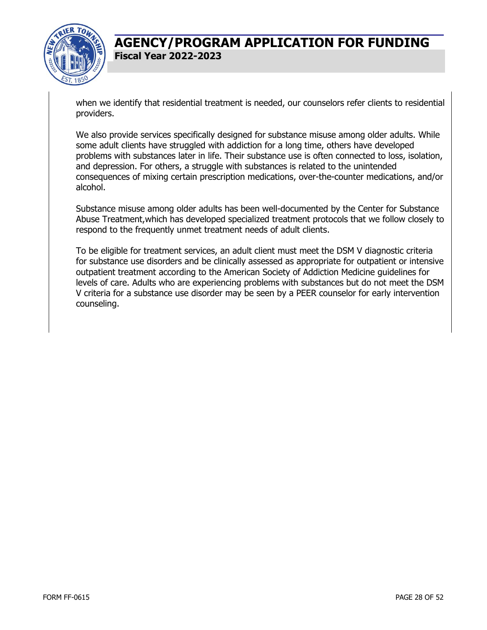

when we identify that residential treatment is needed, our counselors refer clients to residential providers.

We also provide services specifically designed for substance misuse among older adults. While some adult clients have struggled with addiction for a long time, others have developed problems with substances later in life. Their substance use is often connected to loss, isolation, and depression. For others, a struggle with substances is related to the unintended consequences of mixing certain prescription medications, over-the-counter medications, and/or alcohol.

Substance misuse among older adults has been well-documented by the Center for Substance Abuse Treatment,which has developed specialized treatment protocols that we follow closely to respond to the frequently unmet treatment needs of adult clients.

To be eligible for treatment services, an adult client must meet the DSM V diagnostic criteria for substance use disorders and be clinically assessed as appropriate for outpatient or intensive outpatient treatment according to the American Society of Addiction Medicine guidelines for levels of care. Adults who are experiencing problems with substances but do not meet the DSM V criteria for a substance use disorder may be seen by a PEER counselor for early intervention counseling.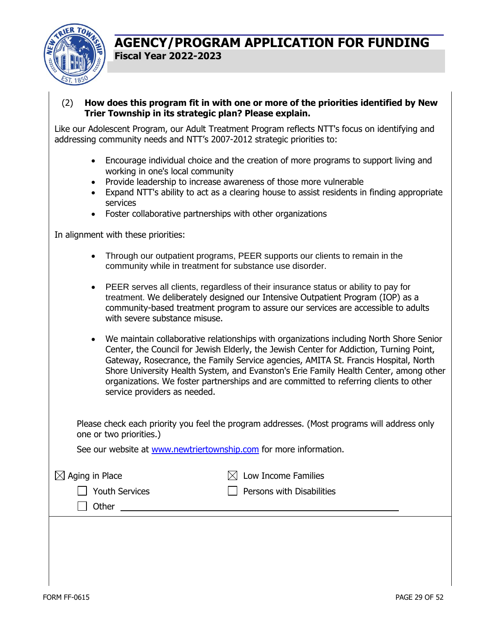

(2) **How does this program fit in with one or more of the priorities identified by New Trier Township in its strategic plan? Please explain.** 

Like our Adolescent Program, our Adult Treatment Program reflects NTT's focus on identifying and addressing community needs and NTT's 2007-2012 strategic priorities to:

- Encourage individual choice and the creation of more programs to support living and working in one's local community
- Provide leadership to increase awareness of those more vulnerable
- Expand NTT's ability to act as a clearing house to assist residents in finding appropriate services
- Foster collaborative partnerships with other organizations

In alignment with these priorities:

- Through our outpatient programs, PEER supports our clients to remain in the community while in treatment for substance use disorder.
- PEER serves all clients, regardless of their insurance status or ability to pay for treatment. We deliberately designed our Intensive Outpatient Program (IOP) as a community-based treatment program to assure our services are accessible to adults with severe substance misuse.
- We maintain collaborative relationships with organizations including North Shore Senior Center, the Council for Jewish Elderly, the Jewish Center for Addiction, Turning Point, Gateway, Rosecrance, the Family Service agencies, AMITA St. Francis Hospital, North Shore University Health System, and Evanston's Erie Family Health Center, among other organizations. We foster partnerships and are committed to referring clients to other service providers as needed.

Please check each priority you feel the program addresses. (Most programs will address only one or two priorities.)

See our website at www.newtriertownship.com for more information.

| $\boxtimes$ Aging in Place | $\boxtimes$ Low Income Families |
|----------------------------|---------------------------------|
| <b>Youth Services</b>      | Persons with Disabilities       |
| Other                      |                                 |
|                            |                                 |
|                            |                                 |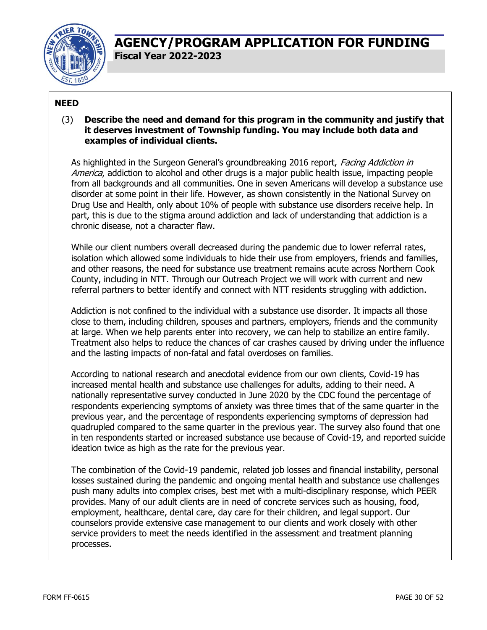

#### **NEED**

#### (3) **Describe the need and demand for this program in the community and justify that it deserves investment of Township funding. You may include both data and examples of individual clients.**

As highlighted in the Surgeon General's groundbreaking 2016 report, Facing Addiction in America, addiction to alcohol and other drugs is a major public health issue, impacting people from all backgrounds and all communities. One in seven Americans will develop a substance use disorder at some point in their life. However, as shown consistently in the National Survey on Drug Use and Health, only about 10% of people with substance use disorders receive help. In part, this is due to the stigma around addiction and lack of understanding that addiction is a chronic disease, not a character flaw.

While our client numbers overall decreased during the pandemic due to lower referral rates, isolation which allowed some individuals to hide their use from employers, friends and families, and other reasons, the need for substance use treatment remains acute across Northern Cook County, including in NTT. Through our Outreach Project we will work with current and new referral partners to better identify and connect with NTT residents struggling with addiction.

Addiction is not confined to the individual with a substance use disorder. It impacts all those close to them, including children, spouses and partners, employers, friends and the community at large. When we help parents enter into recovery, we can help to stabilize an entire family. Treatment also helps to reduce the chances of car crashes caused by driving under the influence and the lasting impacts of non-fatal and fatal overdoses on families.

According to national research and anecdotal evidence from our own clients, Covid-19 has increased mental health and substance use challenges for adults, adding to their need. A nationally representative survey conducted in June 2020 by the CDC found the percentage of respondents experiencing symptoms of anxiety was three times that of the same quarter in the previous year, and the percentage of respondents experiencing symptoms of depression had quadrupled compared to the same quarter in the previous year. The survey also found that one in ten respondents started or increased substance use because of Covid-19, and reported suicide ideation twice as high as the rate for the previous year.

The combination of the Covid-19 pandemic, related job losses and financial instability, personal losses sustained during the pandemic and ongoing mental health and substance use challenges push many adults into complex crises, best met with a multi-disciplinary response, which PEER provides. Many of our adult clients are in need of concrete services such as housing, food, employment, healthcare, dental care, day care for their children, and legal support. Our counselors provide extensive case management to our clients and work closely with other service providers to meet the needs identified in the assessment and treatment planning processes.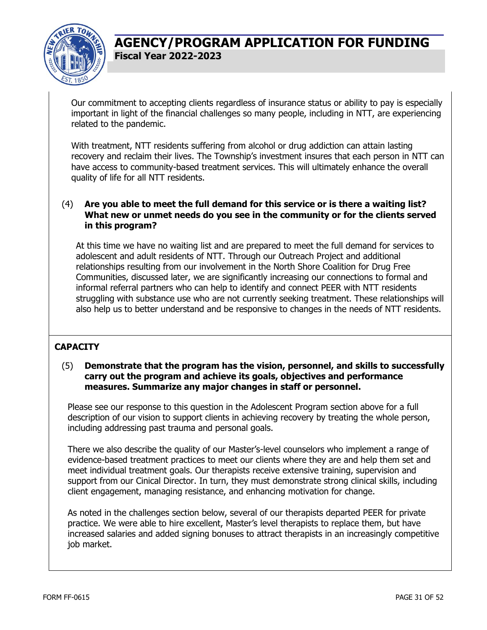

Our commitment to accepting clients regardless of insurance status or ability to pay is especially important in light of the financial challenges so many people, including in NTT, are experiencing related to the pandemic.

With treatment, NTT residents suffering from alcohol or drug addiction can attain lasting recovery and reclaim their lives. The Township's investment insures that each person in NTT can have access to community-based treatment services. This will ultimately enhance the overall quality of life for all NTT residents.

#### (4) **Are you able to meet the full demand for this service or is there a waiting list? What new or unmet needs do you see in the community or for the clients served in this program?**

At this time we have no waiting list and are prepared to meet the full demand for services to adolescent and adult residents of NTT. Through our Outreach Project and additional relationships resulting from our involvement in the North Shore Coalition for Drug Free Communities, discussed later, we are significantly increasing our connections to formal and informal referral partners who can help to identify and connect PEER with NTT residents struggling with substance use who are not currently seeking treatment. These relationships will also help us to better understand and be responsive to changes in the needs of NTT residents.

#### **CAPACITY**

#### (5) **Demonstrate that the program has the vision, personnel, and skills to successfully carry out the program and achieve its goals, objectives and performance measures. Summarize any major changes in staff or personnel.**

Please see our response to this question in the Adolescent Program section above for a full description of our vision to support clients in achieving recovery by treating the whole person, including addressing past trauma and personal goals.

There we also describe the quality of our Master's-level counselors who implement a range of evidence-based treatment practices to meet our clients where they are and help them set and meet individual treatment goals. Our therapists receive extensive training, supervision and support from our Cinical Director. In turn, they must demonstrate strong clinical skills, including client engagement, managing resistance, and enhancing motivation for change.

As noted in the challenges section below, several of our therapists departed PEER for private practice. We were able to hire excellent, Master's level therapists to replace them, but have increased salaries and added signing bonuses to attract therapists in an increasingly competitive job market.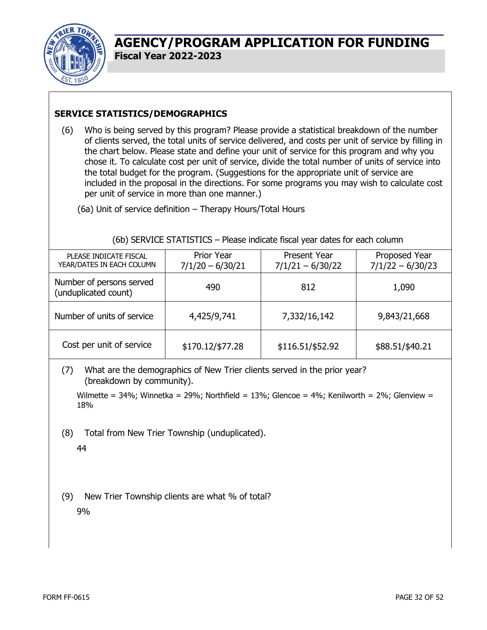

#### **SERVICE STATISTICS/DEMOGRAPHICS**

(6) Who is being served by this program? Please provide a statistical breakdown of the number of clients served, the total units of service delivered, and costs per unit of service by filling in the chart below. Please state and define your unit of service for this program and why you chose it. To calculate cost per unit of service, divide the total number of units of service into the total budget for the program. (Suggestions for the appropriate unit of service are included in the proposal in the directions. For some programs you may wish to calculate cost per unit of service in more than one manner.)

(6a) Unit of service definition – Therapy Hours/Total Hours

#### (6b) SERVICE STATISTICS – Please indicate fiscal year dates for each column

| PLEASE INDICATE FISCAL<br>YEAR/DATES IN EACH COLUMN | <b>Prior Year</b><br>$7/1/20 - 6/30/21$ | <b>Present Year</b><br>$7/1/21 - 6/30/22$ | Proposed Year<br>$7/1/22 - 6/30/23$ |
|-----------------------------------------------------|-----------------------------------------|-------------------------------------------|-------------------------------------|
| Number of persons served<br>(unduplicated count)    | 490                                     | 812                                       | 1,090                               |
| Number of units of service                          | 4,425/9,741                             | 7,332/16,142                              | 9,843/21,668                        |
| Cost per unit of service                            | \$170.12/\$77.28                        | \$116.51/\$52.92                          | \$88.51/\$40.21                     |

(7) What are the demographics of New Trier clients served in the prior year? (breakdown by community).

Wilmette =  $34\%$ ; Winnetka =  $29\%$ ; Northfield =  $13\%$ ; Glencoe =  $4\%$ ; Kenilworth =  $2\%$ ; Glenview = 18%

(8) Total from New Trier Township (unduplicated).

44

(9) New Trier Township clients are what % of total? 9%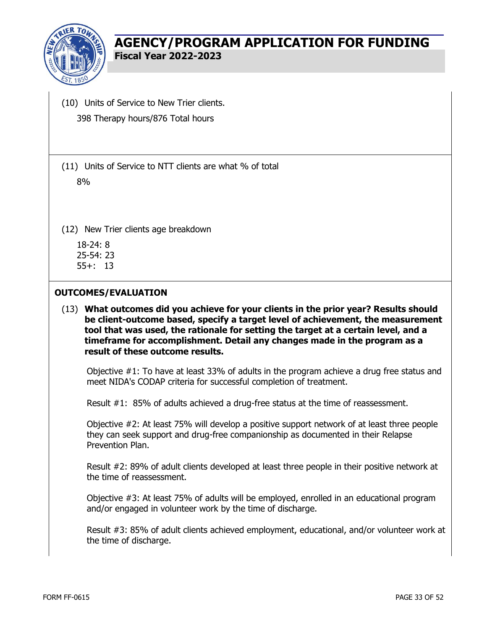

(10) Units of Service to New Trier clients. 398 Therapy hours/876 Total hours

(11) Units of Service to NTT clients are what % of total 8%

(12) New Trier clients age breakdown

18-24: 8 25-54: 23 55+: 13

#### **OUTCOMES/EVALUATION**

(13) **What outcomes did you achieve for your clients in the prior year? Results should be client-outcome based, specify a target level of achievement, the measurement tool that was used, the rationale for setting the target at a certain level, and a timeframe for accomplishment. Detail any changes made in the program as a result of these outcome results.** 

Objective #1: To have at least 33% of adults in the program achieve a drug free status and meet NIDA's CODAP criteria for successful completion of treatment.

Result #1: 85% of adults achieved a drug-free status at the time of reassessment.

Objective #2: At least 75% will develop a positive support network of at least three people they can seek support and drug-free companionship as documented in their Relapse Prevention Plan.

Result #2: 89% of adult clients developed at least three people in their positive network at the time of reassessment.

Objective #3: At least 75% of adults will be employed, enrolled in an educational program and/or engaged in volunteer work by the time of discharge.

Result #3: 85% of adult clients achieved employment, educational, and/or volunteer work at the time of discharge.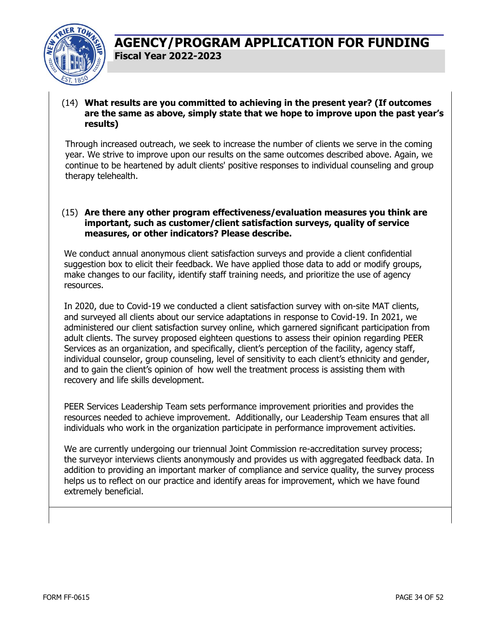

#### (14) **What results are you committed to achieving in the present year? (If outcomes are the same as above, simply state that we hope to improve upon the past year's results)**

Through increased outreach, we seek to increase the number of clients we serve in the coming year. We strive to improve upon our results on the same outcomes described above. Again, we continue to be heartened by adult clients' positive responses to individual counseling and group therapy telehealth.

#### (15) **Are there any other program effectiveness/evaluation measures you think are important, such as customer/client satisfaction surveys, quality of service measures, or other indicators? Please describe.**

We conduct annual anonymous client satisfaction surveys and provide a client confidential suggestion box to elicit their feedback. We have applied those data to add or modify groups, make changes to our facility, identify staff training needs, and prioritize the use of agency resources.

In 2020, due to Covid-19 we conducted a client satisfaction survey with on-site MAT clients, and surveyed all clients about our service adaptations in response to Covid-19. In 2021, we administered our client satisfaction survey online, which garnered significant participation from adult clients. The survey proposed eighteen questions to assess their opinion regarding PEER Services as an organization, and specifically, client's perception of the facility, agency staff, individual counselor, group counseling, level of sensitivity to each client's ethnicity and gender, and to gain the client's opinion of how well the treatment process is assisting them with recovery and life skills development.

PEER Services Leadership Team sets performance improvement priorities and provides the resources needed to achieve improvement. Additionally, our Leadership Team ensures that all individuals who work in the organization participate in performance improvement activities.

We are currently undergoing our triennual Joint Commission re-accreditation survey process; the surveyor interviews clients anonymously and provides us with aggregated feedback data. In addition to providing an important marker of compliance and service quality, the survey process helps us to reflect on our practice and identify areas for improvement, which we have found extremely beneficial.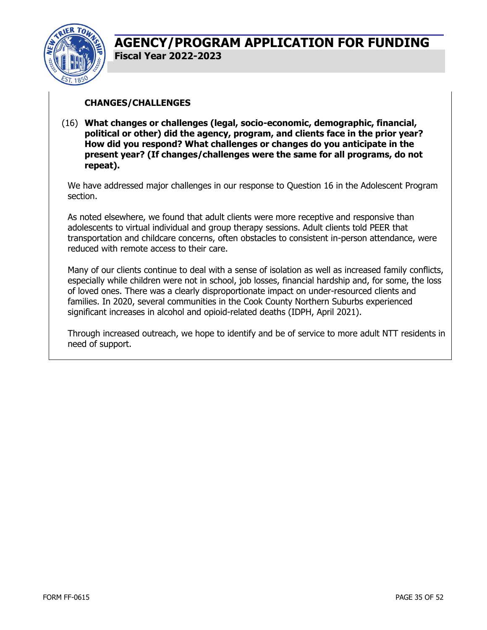

#### **CHANGES/CHALLENGES**

(16) **What changes or challenges (legal, socio-economic, demographic, financial, political or other) did the agency, program, and clients face in the prior year? How did you respond? What challenges or changes do you anticipate in the present year? (If changes/challenges were the same for all programs, do not repeat).** 

We have addressed major challenges in our response to Question 16 in the Adolescent Program section.

As noted elsewhere, we found that adult clients were more receptive and responsive than adolescents to virtual individual and group therapy sessions. Adult clients told PEER that transportation and childcare concerns, often obstacles to consistent in-person attendance, were reduced with remote access to their care.

Many of our clients continue to deal with a sense of isolation as well as increased family conflicts, especially while children were not in school, job losses, financial hardship and, for some, the loss of loved ones. There was a clearly disproportionate impact on under-resourced clients and families. In 2020, several communities in the Cook County Northern Suburbs experienced significant increases in alcohol and opioid-related deaths (IDPH, April 2021).

Through increased outreach, we hope to identify and be of service to more adult NTT residents in need of support.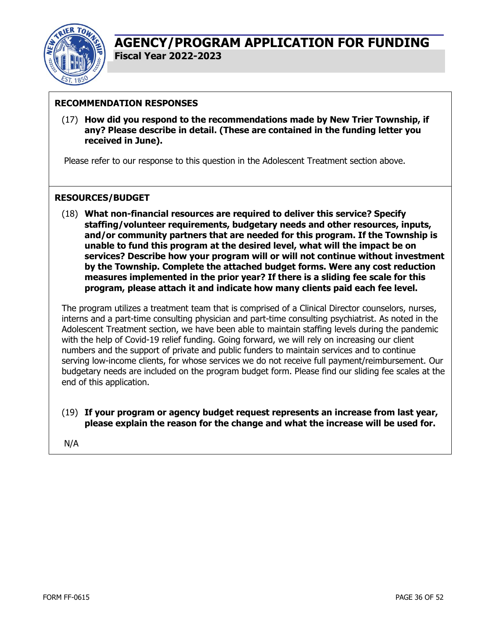

#### **RECOMMENDATION RESPONSES**

(17) **How did you respond to the recommendations made by New Trier Township, if any? Please describe in detail. (These are contained in the funding letter you received in June).** 

Please refer to our response to this question in the Adolescent Treatment section above.

#### **RESOURCES/BUDGET**

(18) **What non-financial resources are required to deliver this service? Specify staffing/volunteer requirements, budgetary needs and other resources, inputs, and/or community partners that are needed for this program. If the Township is unable to fund this program at the desired level, what will the impact be on services? Describe how your program will or will not continue without investment by the Township. Complete the attached budget forms. Were any cost reduction measures implemented in the prior year? If there is a sliding fee scale for this program, please attach it and indicate how many clients paid each fee level.** 

The program utilizes a treatment team that is comprised of a Clinical Director counselors, nurses, interns and a part-time consulting physician and part-time consulting psychiatrist. As noted in the Adolescent Treatment section, we have been able to maintain staffing levels during the pandemic with the help of Covid-19 relief funding. Going forward, we will rely on increasing our client numbers and the support of private and public funders to maintain services and to continue serving low-income clients, for whose services we do not receive full payment/reimbursement. Our budgetary needs are included on the program budget form. Please find our sliding fee scales at the end of this application.

(19) **If your program or agency budget request represents an increase from last year, please explain the reason for the change and what the increase will be used for.** 

N/A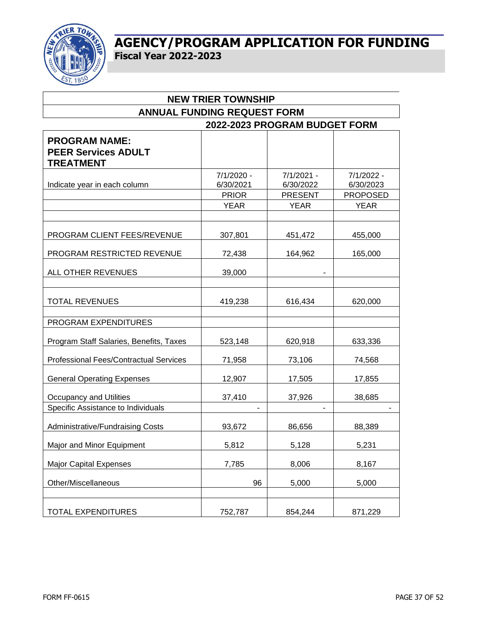

| <b>NEW TRIER TOWNSHIP</b>                                              |                                         |                                             |                                            |  |  |
|------------------------------------------------------------------------|-----------------------------------------|---------------------------------------------|--------------------------------------------|--|--|
| <b>ANNUAL FUNDING REQUEST FORM</b>                                     |                                         |                                             |                                            |  |  |
| 2022-2023 PROGRAM BUDGET FORM                                          |                                         |                                             |                                            |  |  |
| <b>PROGRAM NAME:</b><br><b>PEER Services ADULT</b><br><b>TREATMENT</b> |                                         |                                             |                                            |  |  |
| Indicate year in each column                                           | 7/1/2020 -<br>6/30/2021<br><b>PRIOR</b> | $7/1/2021 -$<br>6/30/2022<br><b>PRESENT</b> | 7/1/2022 -<br>6/30/2023<br><b>PROPOSED</b> |  |  |
|                                                                        | <b>YEAR</b>                             | <b>YEAR</b>                                 | <b>YEAR</b>                                |  |  |
|                                                                        |                                         |                                             |                                            |  |  |
| PROGRAM CLIENT FEES/REVENUE                                            | 307,801                                 | 451,472                                     | 455,000                                    |  |  |
| PROGRAM RESTRICTED REVENUE                                             | 72,438                                  | 164,962                                     | 165,000                                    |  |  |
| ALL OTHER REVENUES                                                     | 39,000                                  |                                             |                                            |  |  |
| <b>TOTAL REVENUES</b>                                                  | 419,238                                 | 616,434                                     | 620,000                                    |  |  |
| PROGRAM EXPENDITURES                                                   |                                         |                                             |                                            |  |  |
| Program Staff Salaries, Benefits, Taxes                                | 523,148                                 | 620,918                                     | 633,336                                    |  |  |
| Professional Fees/Contractual Services                                 | 71,958                                  | 73,106                                      | 74,568                                     |  |  |
| <b>General Operating Expenses</b>                                      | 12,907                                  | 17,505                                      | 17,855                                     |  |  |
| Occupancy and Utilities                                                | 37,410                                  | 37,926                                      | 38,685                                     |  |  |
| Specific Assistance to Individuals                                     |                                         |                                             |                                            |  |  |
| Administrative/Fundraising Costs                                       | 93,672                                  | 86,656                                      | 88,389                                     |  |  |
| Major and Minor Equipment                                              | 5,812                                   | 5,128                                       | 5,231                                      |  |  |
| <b>Major Capital Expenses</b>                                          | 7,785                                   | 8,006                                       | 8,167                                      |  |  |
| Other/Miscellaneous                                                    | 96                                      | 5,000                                       | 5,000                                      |  |  |
| <b>TOTAL EXPENDITURES</b>                                              | 752,787                                 | 854,244                                     | 871,229                                    |  |  |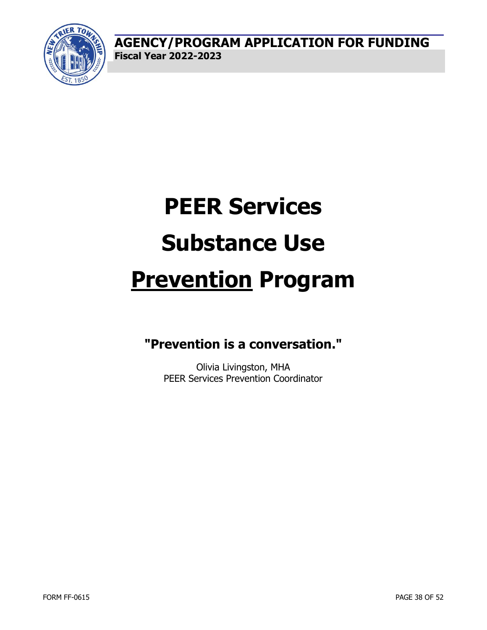

# **PEER Services Substance Use Prevention Program**

## **"Prevention is a conversation."**

Olivia Livingston, MHA PEER Services Prevention Coordinator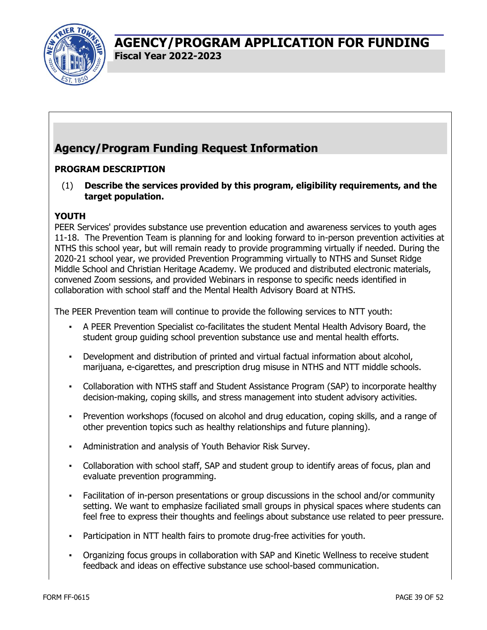

## **Agency/Program Funding Request Information**

#### **PROGRAM DESCRIPTION**

(1) **Describe the services provided by this program, eligibility requirements, and the target population.** 

#### **YOUTH**

PEER Services' provides substance use prevention education and awareness services to youth ages 11-18. The Prevention Team is planning for and looking forward to in-person prevention activities at NTHS this school year, but will remain ready to provide programming virtually if needed. During the 2020-21 school year, we provided Prevention Programming virtually to NTHS and Sunset Ridge Middle School and Christian Heritage Academy. We produced and distributed electronic materials, convened Zoom sessions, and provided Webinars in response to specific needs identified in collaboration with school staff and the Mental Health Advisory Board at NTHS.

The PEER Prevention team will continue to provide the following services to NTT youth:

- A PEER Prevention Specialist co-facilitates the student Mental Health Advisory Board, the student group guiding school prevention substance use and mental health efforts.
- Development and distribution of printed and virtual factual information about alcohol, marijuana, e-cigarettes, and prescription drug misuse in NTHS and NTT middle schools.
- Collaboration with NTHS staff and Student Assistance Program (SAP) to incorporate healthy decision-making, coping skills, and stress management into student advisory activities.
- Prevention workshops (focused on alcohol and drug education, coping skills, and a range of other prevention topics such as healthy relationships and future planning).
- Administration and analysis of Youth Behavior Risk Survey.
- Collaboration with school staff, SAP and student group to identify areas of focus, plan and evaluate prevention programming.
- Facilitation of in-person presentations or group discussions in the school and/or community setting. We want to emphasize faciliated small groups in physical spaces where students can feel free to express their thoughts and feelings about substance use related to peer pressure.
- Participation in NTT health fairs to promote drug-free activities for youth.
- Organizing focus groups in collaboration with SAP and Kinetic Wellness to receive student feedback and ideas on effective substance use school-based communication.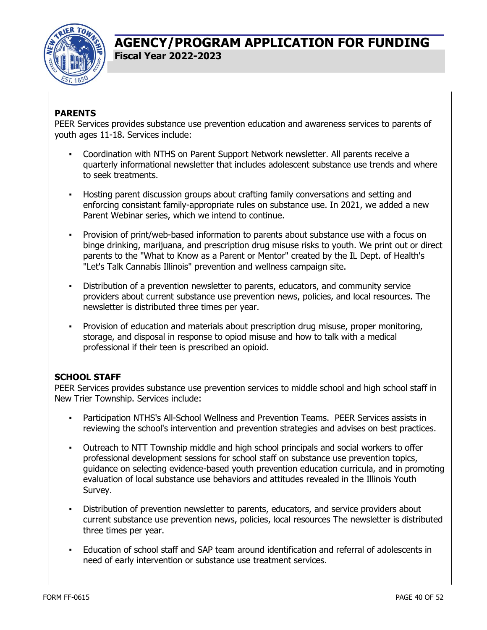

#### **PARENTS**

PEER Services provides substance use prevention education and awareness services to parents of youth ages 11-18. Services include:

- Coordination with NTHS on Parent Support Network newsletter. All parents receive a quarterly informational newsletter that includes adolescent substance use trends and where to seek treatments.
- Hosting parent discussion groups about crafting family conversations and setting and enforcing consistant family-appropriate rules on substance use. In 2021, we added a new Parent Webinar series, which we intend to continue.
- Provision of print/web-based information to parents about substance use with a focus on binge drinking, marijuana, and prescription drug misuse risks to youth. We print out or direct parents to the "What to Know as a Parent or Mentor" created by the IL Dept. of Health's "Let's Talk Cannabis Illinois" prevention and wellness campaign site.
- Distribution of a prevention newsletter to parents, educators, and community service providers about current substance use prevention news, policies, and local resources. The newsletter is distributed three times per year.
- Provision of education and materials about prescription drug misuse, proper monitoring, storage, and disposal in response to opiod misuse and how to talk with a medical professional if their teen is prescribed an opioid.

#### **SCHOOL STAFF**

PEER Services provides substance use prevention services to middle school and high school staff in New Trier Township. Services include:

- Participation NTHS's All-School Wellness and Prevention Teams. PEER Services assists in reviewing the school's intervention and prevention strategies and advises on best practices.
- Outreach to NTT Township middle and high school principals and social workers to offer professional development sessions for school staff on substance use prevention topics, guidance on selecting evidence-based youth prevention education curricula, and in promoting evaluation of local substance use behaviors and attitudes revealed in the Illinois Youth Survey.
- Distribution of prevention newsletter to parents, educators, and service providers about current substance use prevention news, policies, local resources The newsletter is distributed three times per year.
- Education of school staff and SAP team around identification and referral of adolescents in need of early intervention or substance use treatment services.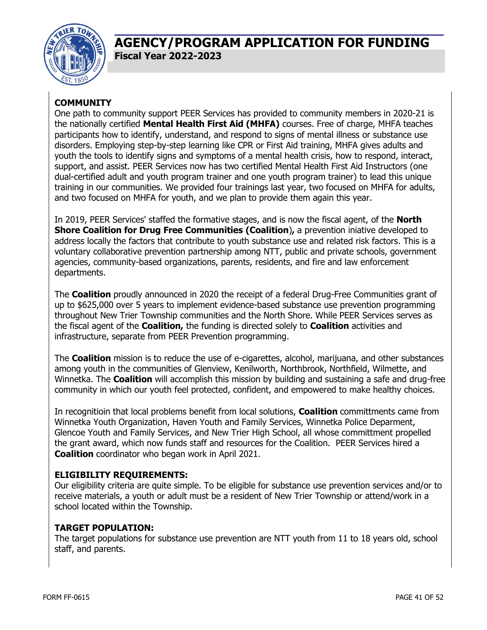

#### **COMMUNITY**

One path to community support PEER Services has provided to community members in 2020-21 is the nationally certified **Mental Health First Aid (MHFA)** courses. Free of charge, MHFA teaches participants how to identify, understand, and respond to signs of mental illness or substance use disorders. Employing step-by-step learning like CPR or First Aid training, MHFA gives adults and youth the tools to identify signs and symptoms of a mental health crisis, how to respond, interact, support, and assist. PEER Services now has two certified Mental Health First Aid Instructors (one dual-certified adult and youth program trainer and one youth program trainer) to lead this unique training in our communities. We provided four trainings last year, two focused on MHFA for adults, and two focused on MHFA for youth, and we plan to provide them again this year.

In 2019, PEER Services' staffed the formative stages, and is now the fiscal agent, of the **North Shore Coalition for Drug Free Communities (Coalition**)**,** a prevention iniative developed to address locally the factors that contribute to youth substance use and related risk factors. This is a voluntary collaborative prevention partnership among NTT, public and private schools, government agencies, community-based organizations, parents, residents, and fire and law enforcement departments.

The **Coalition** proudly announced in 2020 the receipt of a federal Drug-Free Communities grant of up to \$625,000 over 5 years to implement evidence-based substance use prevention programming throughout New Trier Township communities and the North Shore. While PEER Services serves as the fiscal agent of the **Coalition,** the funding is directed solely to **Coalition** activities and infrastructure, separate from PEER Prevention programming.

The **Coalition** mission is to reduce the use of e-cigarettes, alcohol, marijuana, and other substances among youth in the communities of Glenview, Kenilworth, Northbrook, Northfield, Wilmette, and Winnetka. The **Coalition** will accomplish this mission by building and sustaining a safe and drug-free community in which our youth feel protected, confident, and empowered to make healthy choices.

In recognitioin that local problems benefit from local solutions, **Coalition** committments came from Winnetka Youth Organization, Haven Youth and Family Services, Winnetka Police Deparment, Glencoe Youth and Family Services, and New Trier High School, all whose committment propelled the grant award, which now funds staff and resources for the Coalition. PEER Services hired a **Coalition** coordinator who began work in April 2021.

#### **ELIGIBILITY REQUIREMENTS:**

Our eligibility criteria are quite simple. To be eligible for substance use prevention services and/or to receive materials, a youth or adult must be a resident of New Trier Township or attend/work in a school located within the Township.

#### **TARGET POPULATION:**

The target populations for substance use prevention are NTT youth from 11 to 18 years old, school staff, and parents.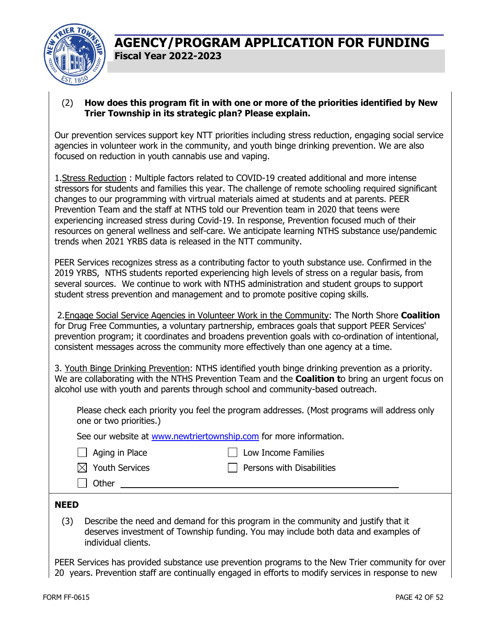

#### (2) **How does this program fit in with one or more of the priorities identified by New Trier Township in its strategic plan? Please explain.**

Our prevention services support key NTT priorities including stress reduction, engaging social service agencies in volunteer work in the community, and youth binge drinking prevention. We are also focused on reduction in youth cannabis use and vaping.

1.Stress Reduction : Multiple factors related to COVID-19 created additional and more intense stressors for students and families this year. The challenge of remote schooling required significant changes to our programming with virtrual materials aimed at students and at parents. PEER Prevention Team and the staff at NTHS told our Prevention team in 2020 that teens were experiencing increased stress during Covid-19. In response, Prevention focused much of their resources on general wellness and self-care. We anticipate learning NTHS substance use/pandemic trends when 2021 YRBS data is released in the NTT community.

PEER Services recognizes stress as a contributing factor to youth substance use. Confirmed in the 2019 YRBS, NTHS students reported experiencing high levels of stress on a regular basis, from several sources. We continue to work with NTHS administration and student groups to support student stress prevention and management and to promote positive coping skills.

 2.Engage Social Service Agencies in Volunteer Work in the Community: The North Shore **Coalition**  for Drug Free Communties, a voluntary partnership, embraces goals that support PEER Services' prevention program; it coordinates and broadens prevention goals with co-ordination of intentional, consistent messages across the community more effectively than one agency at a time.

3. Youth Binge Drinking Prevention: NTHS identified youth binge drinking prevention as a priority. We are collaborating with the NTHS Prevention Team and the **Coalition t**o bring an urgent focus on alcohol use with youth and parents through school and community-based outreach.

Please check each priority you feel the program addresses. (Most programs will address only one or two priorities.)

See our website at www.newtriertownship.com for more information.

| Aging in Place |  |  |
|----------------|--|--|
|----------------|--|--|

 $\Box$  Low Income Families

| $\boxtimes$ Youth Services |
|----------------------------|
|                            |

| <b>Youth Services</b> |
|-----------------------|
|                       |

 $\Box$  Persons with Disabilities

| J YOUTH SEIVICES |  |
|------------------|--|
|                  |  |

| Other

**NEED**

#### (3) Describe the need and demand for this program in the community and justify that it deserves investment of Township funding. You may include both data and examples of individual clients.

PEER Services has provided substance use prevention programs to the New Trier community for over 20 years. Prevention staff are continually engaged in efforts to modify services in response to new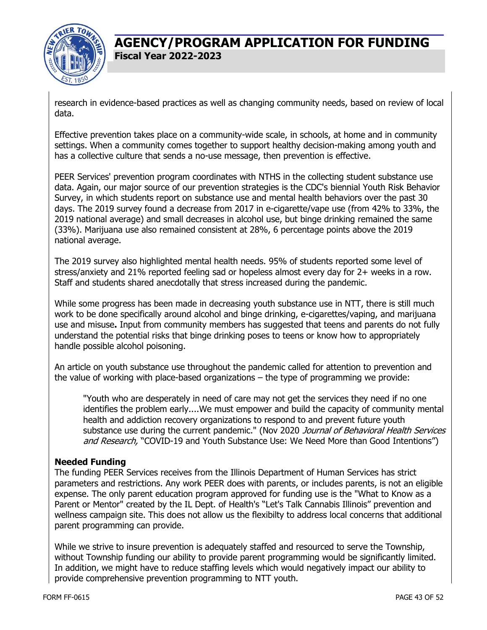

research in evidence-based practices as well as changing community needs, based on review of local data.

Effective prevention takes place on a community-wide scale, in schools, at home and in community settings. When a community comes together to support healthy decision-making among youth and has a collective culture that sends a no-use message, then prevention is effective.

PEER Services' prevention program coordinates with NTHS in the collecting student substance use data. Again, our major source of our prevention strategies is the CDC's biennial Youth Risk Behavior Survey, in which students report on substance use and mental health behaviors over the past 30 days. The 2019 survey found a decrease from 2017 in e-cigarette/vape use (from 42% to 33%, the 2019 national average) and small decreases in alcohol use, but binge drinking remained the same (33%). Marijuana use also remained consistent at 28%, 6 percentage points above the 2019 national average.

The 2019 survey also highlighted mental health needs. 95% of students reported some level of stress/anxiety and 21% reported feeling sad or hopeless almost every day for 2+ weeks in a row. Staff and students shared anecdotally that stress increased during the pandemic.

While some progress has been made in decreasing youth substance use in NTT, there is still much work to be done specifically around alcohol and binge drinking, e-cigarettes/vaping, and marijuana use and misuse**.** Input from community members has suggested that teens and parents do not fully understand the potential risks that binge drinking poses to teens or know how to appropriately handle possible alcohol poisoning.

An article on youth substance use throughout the pandemic called for attention to prevention and the value of working with place-based organizations – the type of programming we provide:

"Youth who are desperately in need of care may not get the services they need if no one identifies the problem early....We must empower and build the capacity of community mental health and addiction recovery organizations to respond to and prevent future youth substance use during the current pandemic." (Nov 2020 Journal of Behavioral Health Services and Research, "COVID-19 and Youth Substance Use: We Need More than Good Intentions")

#### **Needed Funding**

The funding PEER Services receives from the Illinois Department of Human Services has strict parameters and restrictions. Any work PEER does with parents, or includes parents, is not an eligible expense. The only parent education program approved for funding use is the "What to Know as a Parent or Mentor" created by the IL Dept. of Health's "Let's Talk Cannabis Illinois" prevention and wellness campaign site. This does not allow us the flexibilty to address local concerns that additional parent programming can provide.

While we strive to insure prevention is adequately staffed and resourced to serve the Township, without Township funding our ability to provide parent programming would be significantly limited. In addition, we might have to reduce staffing levels which would negatively impact our ability to provide comprehensive prevention programming to NTT youth.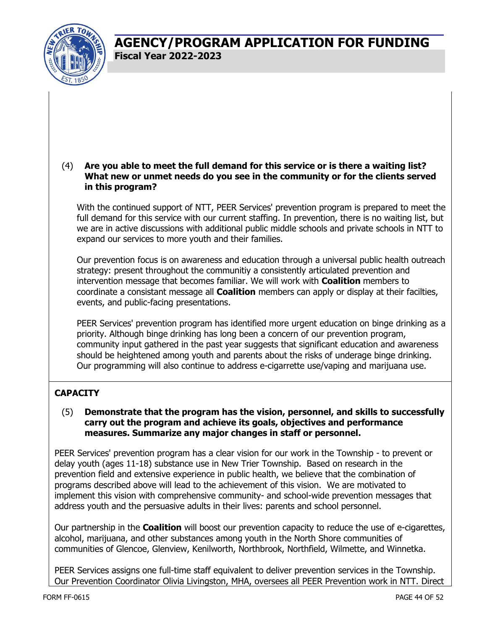

#### (4) **Are you able to meet the full demand for this service or is there a waiting list? What new or unmet needs do you see in the community or for the clients served in this program?**

With the continued support of NTT, PEER Services' prevention program is prepared to meet the full demand for this service with our current staffing. In prevention, there is no waiting list, but we are in active discussions with additional public middle schools and private schools in NTT to expand our services to more youth and their families.

Our prevention focus is on awareness and education through a universal public health outreach strategy: present throughout the communitiy a consistently articulated prevention and intervention message that becomes familiar. We will work with **Coalition** members to coordinate a consistant message all **Coalition** members can apply or display at their facilties, events, and public-facing presentations.

PEER Services' prevention program has identified more urgent education on binge drinking as a priority. Although binge drinking has long been a concern of our prevention program, community input gathered in the past year suggests that significant education and awareness should be heightened among youth and parents about the risks of underage binge drinking. Our programming will also continue to address e-cigarrette use/vaping and marijuana use.

#### **CAPACITY**

#### (5) **Demonstrate that the program has the vision, personnel, and skills to successfully carry out the program and achieve its goals, objectives and performance measures. Summarize any major changes in staff or personnel.**

PEER Services' prevention program has a clear vision for our work in the Township - to prevent or delay youth (ages 11-18) substance use in New Trier Township. Based on research in the prevention field and extensive experience in public health, we believe that the combination of programs described above will lead to the achievement of this vision. We are motivated to implement this vision with comprehensive community- and school-wide prevention messages that address youth and the persuasive adults in their lives: parents and school personnel.

Our partnership in the **Coalition** will boost our prevention capacity to reduce the use of e-cigarettes, alcohol, marijuana, and other substances among youth in the North Shore communities of communities of Glencoe, Glenview, Kenilworth, Northbrook, Northfield, Wilmette, and Winnetka.

PEER Services assigns one full-time staff equivalent to deliver prevention services in the Township. Our Prevention Coordinator Olivia Livingston, MHA, oversees all PEER Prevention work in NTT. Direct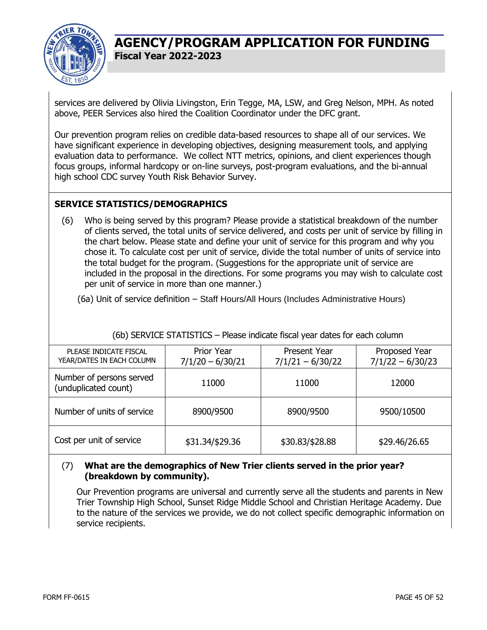

services are delivered by Olivia Livingston, Erin Tegge, MA, LSW, and Greg Nelson, MPH. As noted above, PEER Services also hired the Coalition Coordinator under the DFC grant.

Our prevention program relies on credible data-based resources to shape all of our services. We have significant experience in developing objectives, designing measurement tools, and applying evaluation data to performance. We collect NTT metrics, opinions, and client experiences though focus groups, informal hardcopy or on-line surveys, post-program evaluations, and the bi-annual high school CDC survey Youth Risk Behavior Survey.

#### **SERVICE STATISTICS/DEMOGRAPHICS**

(6) Who is being served by this program? Please provide a statistical breakdown of the number of clients served, the total units of service delivered, and costs per unit of service by filling in the chart below. Please state and define your unit of service for this program and why you chose it. To calculate cost per unit of service, divide the total number of units of service into the total budget for the program. (Suggestions for the appropriate unit of service are included in the proposal in the directions. For some programs you may wish to calculate cost per unit of service in more than one manner.)

(6a) Unit of service definition – Staff Hours/All Hours (Includes Administrative Hours)

| PLEASE INDICATE FISCAL<br>YEAR/DATES IN EACH COLUMN | <b>Prior Year</b><br>$7/1/20 - 6/30/21$ | <b>Present Year</b><br>$7/1/21 - 6/30/22$ | Proposed Year<br>$7/1/22 - 6/30/23$ |  |  |
|-----------------------------------------------------|-----------------------------------------|-------------------------------------------|-------------------------------------|--|--|
| Number of persons served<br>(unduplicated count)    | 11000                                   | 11000                                     | 12000                               |  |  |
| Number of units of service                          | 8900/9500                               | 8900/9500                                 | 9500/10500                          |  |  |
| Cost per unit of service                            | \$31.34/\$29.36                         | \$30.83/\$28.88                           | \$29.46/26.65                       |  |  |

#### (6b) SERVICE STATISTICS – Please indicate fiscal year dates for each column

#### (7) **What are the demographics of New Trier clients served in the prior year? (breakdown by community).**

Our Prevention programs are universal and currently serve all the students and parents in New Trier Township High School, Sunset Ridge Middle School and Christian Heritage Academy. Due to the nature of the services we provide, we do not collect specific demographic information on service recipients.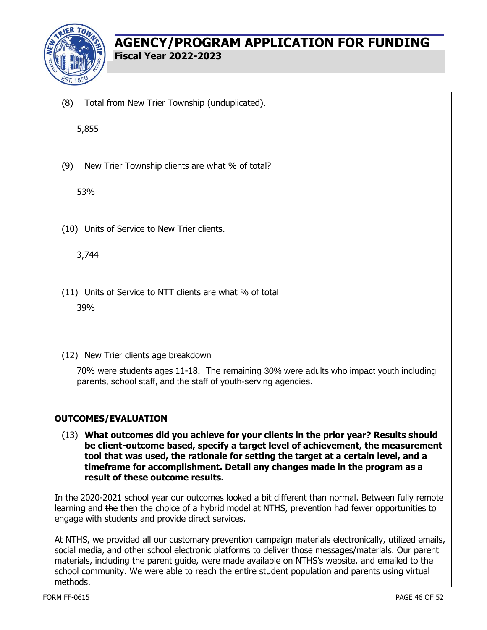

(8) Total from New Trier Township (unduplicated).

5,855

(9) New Trier Township clients are what % of total?

53%

(10) Units of Service to New Trier clients.

3,744

- (11) Units of Service to NTT clients are what % of total 39%
- (12) New Trier clients age breakdown

70% were students ages 11-18. The remaining 30% were adults who impact youth including parents, school staff, and the staff of youth-serving agencies.

#### **OUTCOMES/EVALUATION**

(13) **What outcomes did you achieve for your clients in the prior year? Results should be client-outcome based, specify a target level of achievement, the measurement tool that was used, the rationale for setting the target at a certain level, and a timeframe for accomplishment. Detail any changes made in the program as a result of these outcome results.** 

In the 2020-2021 school year our outcomes looked a bit different than normal. Between fully remote learning and the then the choice of a hybrid model at NTHS, prevention had fewer opportunities to engage with students and provide direct services.

At NTHS, we provided all our customary prevention campaign materials electronically, utilized emails, social media, and other school electronic platforms to deliver those messages/materials. Our parent materials, including the parent guide, were made available on NTHS's website, and emailed to the school community. We were able to reach the entire student population and parents using virtual methods.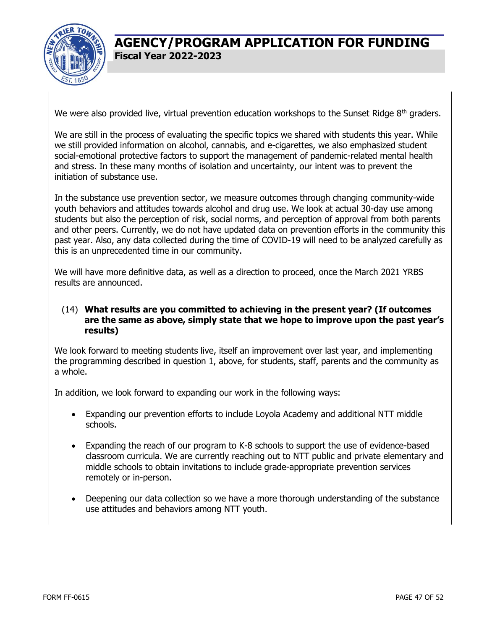

We were also provided live, virtual prevention education workshops to the Sunset Ridge 8<sup>th</sup> graders.

We are still in the process of evaluating the specific topics we shared with students this year. While we still provided information on alcohol, cannabis, and e-cigarettes, we also emphasized student social-emotional protective factors to support the management of pandemic-related mental health and stress. In these many months of isolation and uncertainty, our intent was to prevent the initiation of substance use.

In the substance use prevention sector, we measure outcomes through changing community-wide youth behaviors and attitudes towards alcohol and drug use. We look at actual 30-day use among students but also the perception of risk, social norms, and perception of approval from both parents and other peers. Currently, we do not have updated data on prevention efforts in the community this past year. Also, any data collected during the time of COVID-19 will need to be analyzed carefully as this is an unprecedented time in our community.

We will have more definitive data, as well as a direction to proceed, once the March 2021 YRBS results are announced.

#### (14) **What results are you committed to achieving in the present year? (If outcomes are the same as above, simply state that we hope to improve upon the past year's results)**

We look forward to meeting students live, itself an improvement over last year, and implementing the programming described in question 1, above, for students, staff, parents and the community as a whole.

In addition, we look forward to expanding our work in the following ways:

- Expanding our prevention efforts to include Loyola Academy and additional NTT middle schools.
- Expanding the reach of our program to K-8 schools to support the use of evidence-based classroom curricula. We are currently reaching out to NTT public and private elementary and middle schools to obtain invitations to include grade-appropriate prevention services remotely or in-person.
- Deepening our data collection so we have a more thorough understanding of the substance use attitudes and behaviors among NTT youth.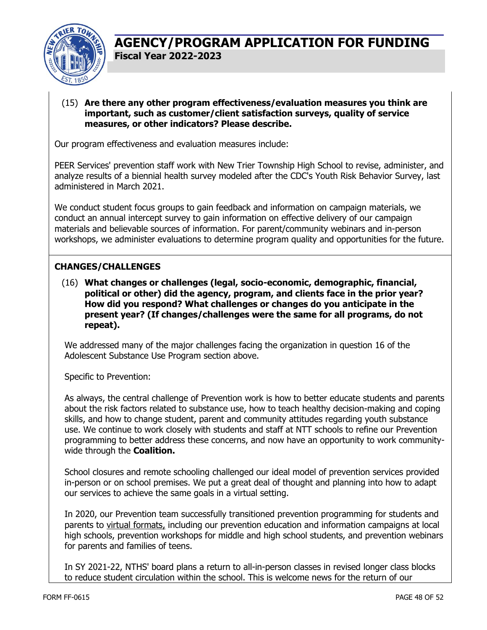

#### (15) **Are there any other program effectiveness/evaluation measures you think are important, such as customer/client satisfaction surveys, quality of service measures, or other indicators? Please describe.**

Our program effectiveness and evaluation measures include:

PEER Services' prevention staff work with New Trier Township High School to revise, administer, and analyze results of a biennial health survey modeled after the CDC's Youth Risk Behavior Survey, last administered in March 2021.

We conduct student focus groups to gain feedback and information on campaign materials, we conduct an annual intercept survey to gain information on effective delivery of our campaign materials and believable sources of information. For parent/community webinars and in-person workshops, we administer evaluations to determine program quality and opportunities for the future.

#### **CHANGES/CHALLENGES**

(16) **What changes or challenges (legal, socio-economic, demographic, financial, political or other) did the agency, program, and clients face in the prior year? How did you respond? What challenges or changes do you anticipate in the present year? (If changes/challenges were the same for all programs, do not repeat).** 

We addressed many of the major challenges facing the organization in question 16 of the Adolescent Substance Use Program section above.

Specific to Prevention:

As always, the central challenge of Prevention work is how to better educate students and parents about the risk factors related to substance use, how to teach healthy decision-making and coping skills, and how to change student, parent and community attitudes regarding youth substance use. We continue to work closely with students and staff at NTT schools to refine our Prevention programming to better address these concerns, and now have an opportunity to work communitywide through the **Coalition.** 

School closures and remote schooling challenged our ideal model of prevention services provided in-person or on school premises. We put a great deal of thought and planning into how to adapt our services to achieve the same goals in a virtual setting.

In 2020, our Prevention team successfully transitioned prevention programming for students and parents to virtual formats, including our prevention education and information campaigns at local high schools, prevention workshops for middle and high school students, and prevention webinars for parents and families of teens.

In SY 2021-22, NTHS' board plans a return to all-in-person classes in revised longer class blocks to reduce student circulation within the school. This is welcome news for the return of our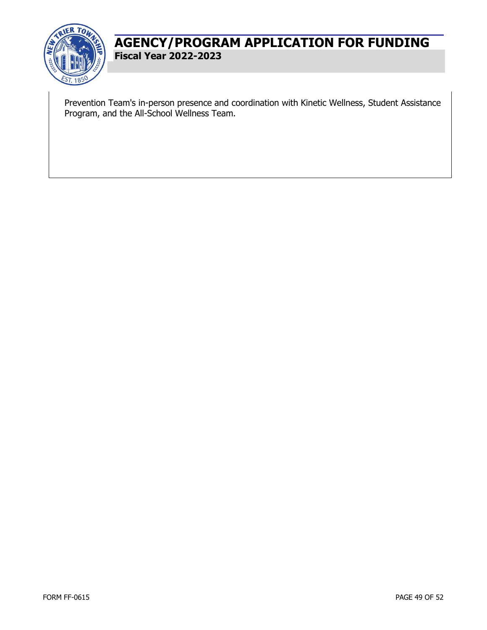

Prevention Team's in-person presence and coordination with Kinetic Wellness, Student Assistance Program, and the All-School Wellness Team.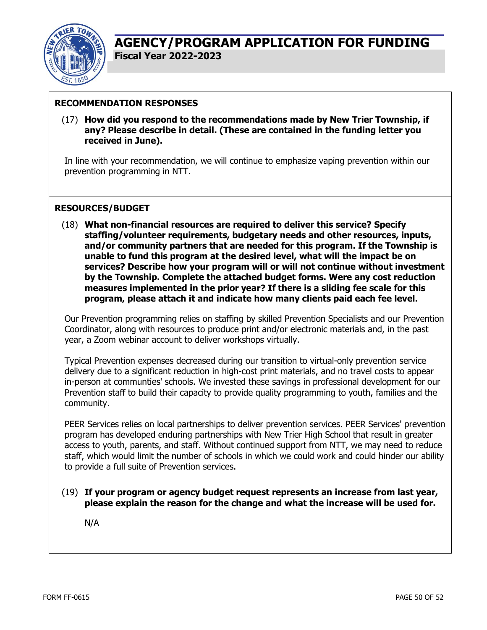

#### **RECOMMENDATION RESPONSES**

(17) **How did you respond to the recommendations made by New Trier Township, if any? Please describe in detail. (These are contained in the funding letter you received in June).** 

In line with your recommendation, we will continue to emphasize vaping prevention within our prevention programming in NTT.

#### **RESOURCES/BUDGET**

(18) **What non-financial resources are required to deliver this service? Specify staffing/volunteer requirements, budgetary needs and other resources, inputs, and/or community partners that are needed for this program. If the Township is unable to fund this program at the desired level, what will the impact be on services? Describe how your program will or will not continue without investment by the Township. Complete the attached budget forms. Were any cost reduction measures implemented in the prior year? If there is a sliding fee scale for this program, please attach it and indicate how many clients paid each fee level.** 

Our Prevention programming relies on staffing by skilled Prevention Specialists and our Prevention Coordinator, along with resources to produce print and/or electronic materials and, in the past year, a Zoom webinar account to deliver workshops virtually.

Typical Prevention expenses decreased during our transition to virtual-only prevention service delivery due to a significant reduction in high-cost print materials, and no travel costs to appear in-person at communties' schools. We invested these savings in professional development for our Prevention staff to build their capacity to provide quality programming to youth, families and the community.

PEER Services relies on local partnerships to deliver prevention services. PEER Services' prevention program has developed enduring partnerships with New Trier High School that result in greater access to youth, parents, and staff. Without continued support from NTT, we may need to reduce staff, which would limit the number of schools in which we could work and could hinder our ability to provide a full suite of Prevention services.

(19) **If your program or agency budget request represents an increase from last year, please explain the reason for the change and what the increase will be used for.** 

N/A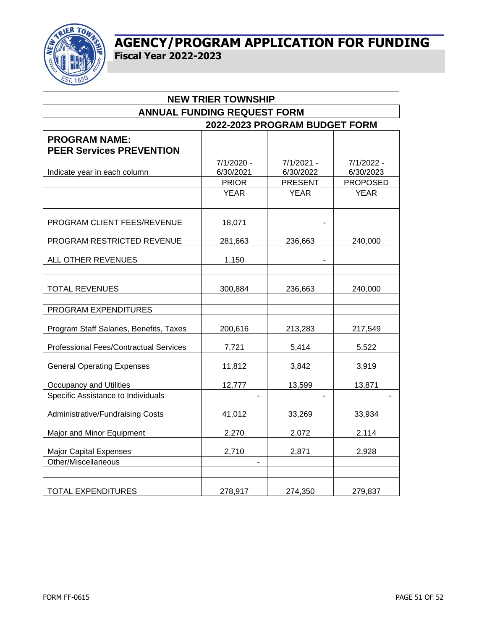

| <b>NEW TRIER TOWNSHIP</b>               |                         |                         |                         |  |  |  |  |  |  |  |
|-----------------------------------------|-------------------------|-------------------------|-------------------------|--|--|--|--|--|--|--|
| <b>ANNUAL FUNDING REQUEST FORM</b>      |                         |                         |                         |  |  |  |  |  |  |  |
| 2022-2023 PROGRAM BUDGET FORM           |                         |                         |                         |  |  |  |  |  |  |  |
| <b>PROGRAM NAME:</b>                    |                         |                         |                         |  |  |  |  |  |  |  |
| <b>PEER Services PREVENTION</b>         |                         |                         |                         |  |  |  |  |  |  |  |
| Indicate year in each column            | 7/1/2020 -<br>6/30/2021 | 7/1/2021 -<br>6/30/2022 | 7/1/2022 -<br>6/30/2023 |  |  |  |  |  |  |  |
|                                         | <b>PRIOR</b>            | <b>PRESENT</b>          | <b>PROPOSED</b>         |  |  |  |  |  |  |  |
|                                         | <b>YEAR</b>             | <b>YEAR</b>             | <b>YEAR</b>             |  |  |  |  |  |  |  |
|                                         |                         |                         |                         |  |  |  |  |  |  |  |
| PROGRAM CLIENT FEES/REVENUE             | 18,071                  |                         |                         |  |  |  |  |  |  |  |
| PROGRAM RESTRICTED REVENUE              | 281,663                 | 236,663                 | 240,000                 |  |  |  |  |  |  |  |
| ALL OTHER REVENUES                      | 1,150                   |                         |                         |  |  |  |  |  |  |  |
| <b>TOTAL REVENUES</b>                   | 300,884                 | 236,663                 | 240,000                 |  |  |  |  |  |  |  |
| PROGRAM EXPENDITURES                    |                         |                         |                         |  |  |  |  |  |  |  |
| Program Staff Salaries, Benefits, Taxes | 200,616                 | 213,283                 | 217,549                 |  |  |  |  |  |  |  |
| Professional Fees/Contractual Services  | 7,721                   | 5,414                   | 5,522                   |  |  |  |  |  |  |  |
| <b>General Operating Expenses</b>       | 11,812                  | 3,842                   | 3,919                   |  |  |  |  |  |  |  |
| <b>Occupancy and Utilities</b>          | 12,777                  | 13,599                  | 13,871                  |  |  |  |  |  |  |  |
| Specific Assistance to Individuals      | $\overline{a}$          |                         |                         |  |  |  |  |  |  |  |
| Administrative/Fundraising Costs        | 41,012                  | 33,269                  | 33,934                  |  |  |  |  |  |  |  |
| Major and Minor Equipment               | 2,270                   | 2,072                   | 2,114                   |  |  |  |  |  |  |  |
| <b>Major Capital Expenses</b>           | 2,710                   | 2,871                   | 2,928                   |  |  |  |  |  |  |  |
| Other/Miscellaneous                     | $\overline{a}$          |                         |                         |  |  |  |  |  |  |  |
| <b>TOTAL EXPENDITURES</b>               | 278,917                 | 274,350                 | 279,837                 |  |  |  |  |  |  |  |